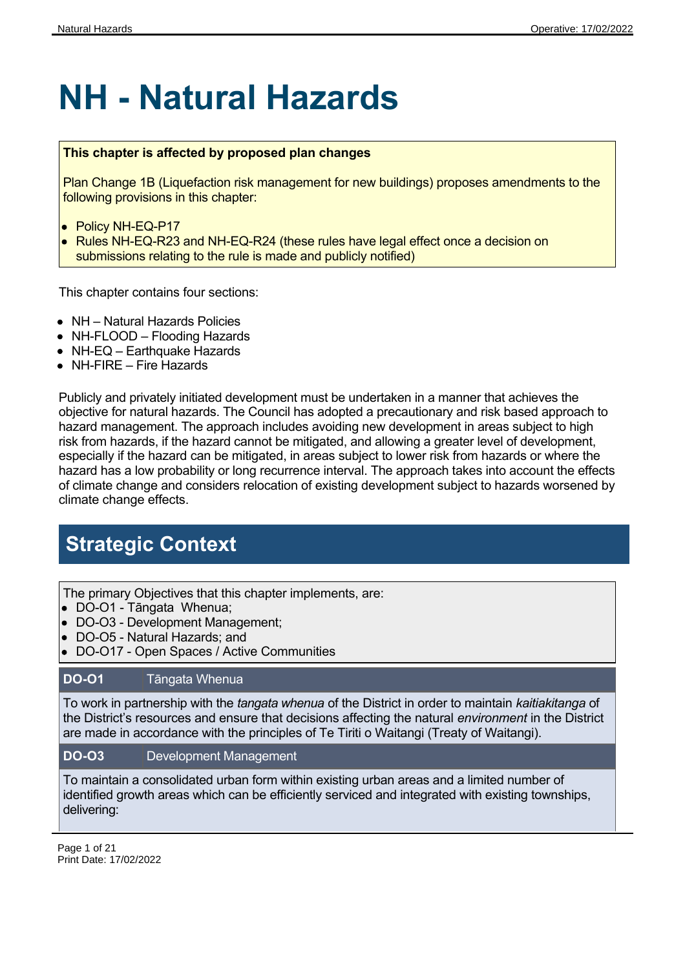# **NH - Natural Hazards**

### **This chapter is affected by proposed plan changes**

Plan Change 1B (Liquefaction risk management for new buildings) proposes amendments to the following provisions in this chapter:

- Policy NH-EQ-P17
- Rules NH-EQ-R23 and NH-EQ-R24 (these rules have legal effect once a decision on submissions relating to the rule is made and publicly notified)

This chapter contains four sections:

- NH Natural Hazards Policies
- NH-FLOOD Flooding Hazards
- NH-EQ Earthquake Hazards
- NH-FIRE Fire Hazards

Publicly and privately initiated development must be undertaken in a manner that achieves the objective for natural hazards. The Council has adopted a precautionary and risk based approach to hazard management. The approach includes avoiding new development in areas subject to high risk from hazards, if the hazard cannot be mitigated, and allowing a greater level of development, especially if the hazard can be mitigated, in areas subject to lower risk from hazards or where the hazard has a low probability or long recurrence interval. The approach takes into account the effects of climate change and considers relocation of existing development subject to hazards worsened by climate change effects.

### **Strategic Context**

The primary Objectives that this chapter implements, are:

- DO-O1 Tāngata Whenua;
- DO-O3 Development Management;
- DO-O5 Natural Hazards; and
- DO-O17 Open Spaces / Active Communities

### **DO-O1** Tāngata Whenua

To work in partnership with the *tangata whenua* of the District in order to maintain *kaitiakitanga* of the District's resources and ensure that decisions affecting the natural *environment* in the District are made in accordance with the principles of Te Tiriti o Waitangi (Treaty of Waitangi).

#### **DO-O3** Development Management

To maintain a consolidated urban form within existing urban areas and a limited number of identified growth areas which can be efficiently serviced and integrated with existing townships, delivering:

Page 1 of 21 Print Date: 17/02/2022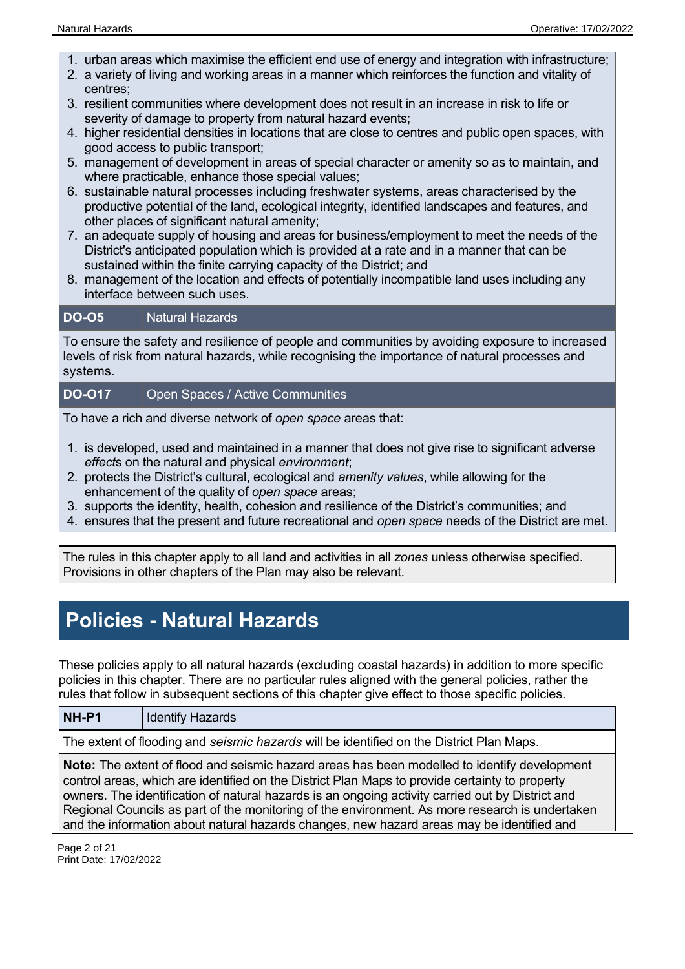- 1. urban areas which maximise the efficient end use of energy and integration with infrastructure;
- 2. a variety of living and working areas in a manner which reinforces the function and vitality of centres;
- 3. resilient communities where development does not result in an increase in risk to life or severity of damage to property from natural hazard events;
- 4. higher residential densities in locations that are close to centres and public open spaces, with good access to public transport;
- 5. management of development in areas of special character or amenity so as to maintain, and where practicable, enhance those special values;
- 6. sustainable natural processes including freshwater systems, areas characterised by the productive potential of the land, ecological integrity, identified landscapes and features, and other places of significant natural amenity;
- 7. an adequate supply of housing and areas for business/employment to meet the needs of the District's anticipated population which is provided at a rate and in a manner that can be sustained within the finite carrying capacity of the District; and
- 8. management of the location and effects of potentially incompatible land uses including any interface between such uses.

### **DO-O5**  Natural Hazards

To ensure the safety and resilience of people and communities by avoiding exposure to increased levels of risk from natural hazards, while recognising the importance of natural processes and systems.

### **DO-O17** Open Spaces / Active Communities

To have a rich and diverse network of *open space* areas that:

- 1. is developed, used and maintained in a manner that does not give rise to significant adverse *effect*s on the natural and physical *environment*;
- 2. protects the District's cultural, ecological and *amenity values*, while allowing for the enhancement of the quality of *open space* areas;
- 3. supports the identity, health, cohesion and resilience of the District's communities; and
- 4. ensures that the present and future recreational and *open space* needs of the District are met.

The rules in this chapter apply to all land and activities in all *zones* unless otherwise specified. Provisions in other chapters of the Plan may also be relevant.

### **Policies - Natural Hazards**

These policies apply to all natural hazards (excluding coastal hazards) in addition to more specific policies in this chapter. There are no particular rules aligned with the general policies, rather the rules that follow in subsequent sections of this chapter give effect to those specific policies.

The extent of flooding and *seismic hazards* will be identified on the District Plan Maps.

**Note:** The extent of flood and seismic hazard areas has been modelled to identify development control areas, which are identified on the District Plan Maps to provide certainty to property owners. The identification of natural hazards is an ongoing activity carried out by District and Regional Councils as part of the monitoring of the environment. As more research is undertaken and the information about natural hazards changes, new hazard areas may be identified and

Page 2 of 21 Print Date: 17/02/2022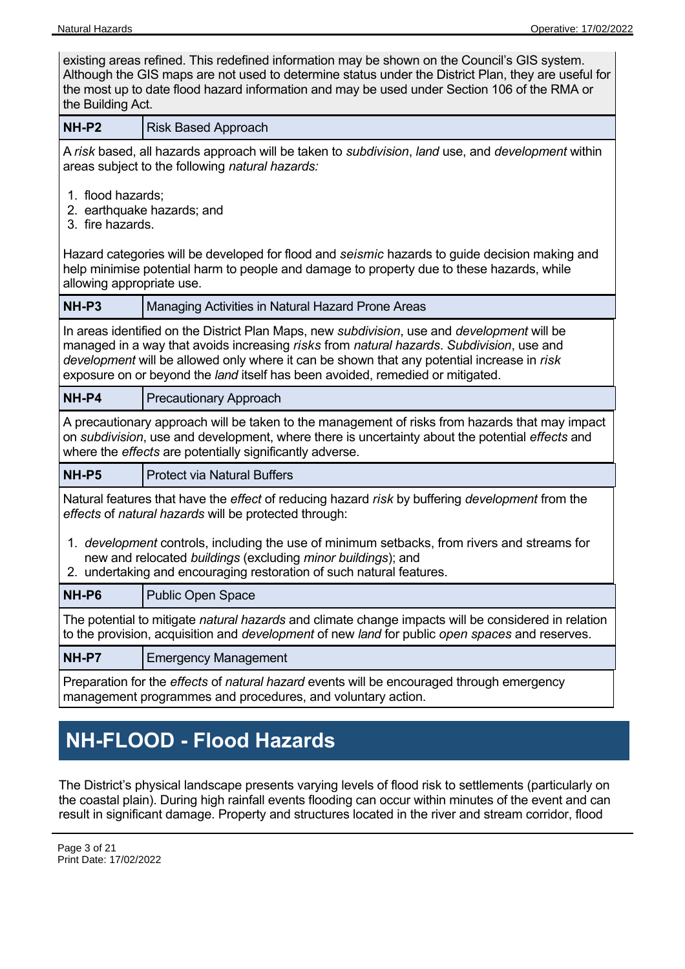| existing areas refined. This redefined information may be shown on the Council's GIS system.<br>Although the GIS maps are not used to determine status under the District Plan, they are useful for<br>the most up to date flood hazard information and may be used under Section 106 of the RMA or<br>the Building Act.                                                |                                                                                                                                                                                                                                                               |  |  |  |  |  |
|-------------------------------------------------------------------------------------------------------------------------------------------------------------------------------------------------------------------------------------------------------------------------------------------------------------------------------------------------------------------------|---------------------------------------------------------------------------------------------------------------------------------------------------------------------------------------------------------------------------------------------------------------|--|--|--|--|--|
| <b>NH-P2</b>                                                                                                                                                                                                                                                                                                                                                            | <b>Risk Based Approach</b>                                                                                                                                                                                                                                    |  |  |  |  |  |
|                                                                                                                                                                                                                                                                                                                                                                         | A risk based, all hazards approach will be taken to subdivision, land use, and development within<br>areas subject to the following natural hazards:                                                                                                          |  |  |  |  |  |
| 1. flood hazards;<br>3. fire hazards.                                                                                                                                                                                                                                                                                                                                   | 2. earthquake hazards; and                                                                                                                                                                                                                                    |  |  |  |  |  |
| allowing appropriate use.                                                                                                                                                                                                                                                                                                                                               | Hazard categories will be developed for flood and seismic hazards to guide decision making and<br>help minimise potential harm to people and damage to property due to these hazards, while                                                                   |  |  |  |  |  |
| NH-P3                                                                                                                                                                                                                                                                                                                                                                   | Managing Activities in Natural Hazard Prone Areas                                                                                                                                                                                                             |  |  |  |  |  |
| In areas identified on the District Plan Maps, new subdivision, use and development will be<br>managed in a way that avoids increasing risks from natural hazards. Subdivision, use and<br>development will be allowed only where it can be shown that any potential increase in risk<br>exposure on or beyond the land itself has been avoided, remedied or mitigated. |                                                                                                                                                                                                                                                               |  |  |  |  |  |
| NH-P4                                                                                                                                                                                                                                                                                                                                                                   | <b>Precautionary Approach</b>                                                                                                                                                                                                                                 |  |  |  |  |  |
|                                                                                                                                                                                                                                                                                                                                                                         | A precautionary approach will be taken to the management of risks from hazards that may impact<br>on subdivision, use and development, where there is uncertainty about the potential effects and<br>where the effects are potentially significantly adverse. |  |  |  |  |  |
| NH-P5                                                                                                                                                                                                                                                                                                                                                                   | <b>Protect via Natural Buffers</b>                                                                                                                                                                                                                            |  |  |  |  |  |
| Natural features that have the <i>effect</i> of reducing hazard risk by buffering <i>development</i> from the<br>effects of natural hazards will be protected through:                                                                                                                                                                                                  |                                                                                                                                                                                                                                                               |  |  |  |  |  |
| 1. development controls, including the use of minimum setbacks, from rivers and streams for<br>new and relocated buildings (excluding minor buildings); and<br>2. undertaking and encouraging restoration of such natural features.                                                                                                                                     |                                                                                                                                                                                                                                                               |  |  |  |  |  |
| NH-P6<br><b>Public Open Space</b>                                                                                                                                                                                                                                                                                                                                       |                                                                                                                                                                                                                                                               |  |  |  |  |  |
| The potential to mitigate <i>natural hazards</i> and climate change impacts will be considered in relation<br>to the provision, acquisition and <i>development</i> of new land for public open spaces and reserves.                                                                                                                                                     |                                                                                                                                                                                                                                                               |  |  |  |  |  |
| NH-P7                                                                                                                                                                                                                                                                                                                                                                   | <b>Emergency Management</b>                                                                                                                                                                                                                                   |  |  |  |  |  |
| Preparation for the effects of natural hazard events will be encouraged through emergency<br>management programmes and procedures, and voluntary action.                                                                                                                                                                                                                |                                                                                                                                                                                                                                                               |  |  |  |  |  |

# **NH-FLOOD - Flood Hazards**

The District's physical landscape presents varying levels of flood risk to settlements (particularly on the coastal plain). During high rainfall events flooding can occur within minutes of the event and can result in significant damage. Property and structures located in the river and stream corridor, flood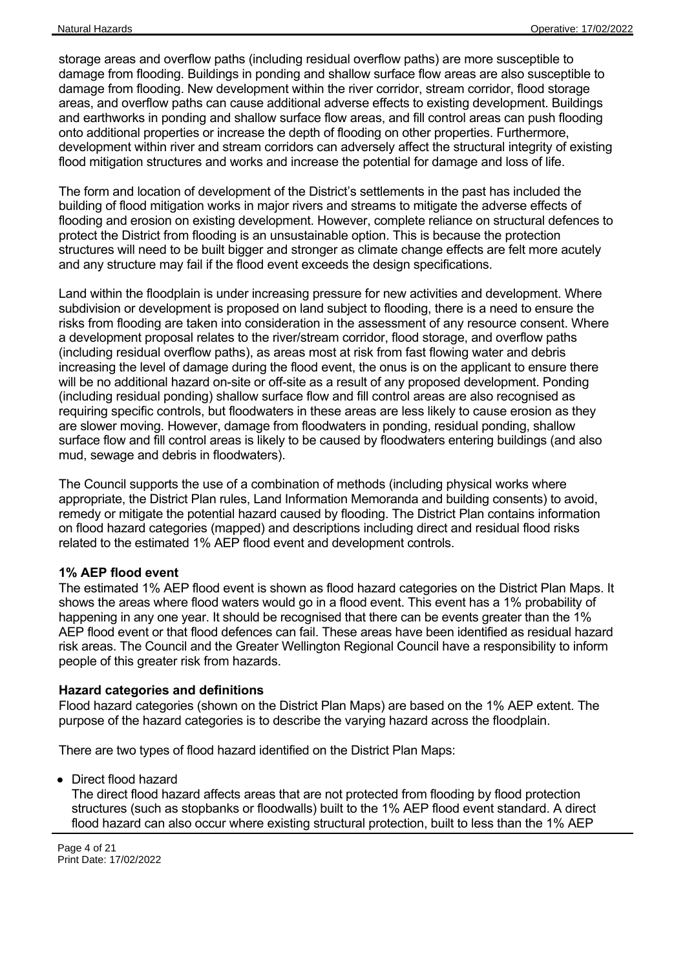storage areas and overflow paths (including residual overflow paths) are more susceptible to damage from flooding. Buildings in ponding and shallow surface flow areas are also susceptible to damage from flooding. New development within the river corridor, stream corridor, flood storage areas, and overflow paths can cause additional adverse effects to existing development. Buildings and earthworks in ponding and shallow surface flow areas, and fill control areas can push flooding onto additional properties or increase the depth of flooding on other properties. Furthermore, development within river and stream corridors can adversely affect the structural integrity of existing flood mitigation structures and works and increase the potential for damage and loss of life.

The form and location of development of the District's settlements in the past has included the building of flood mitigation works in major rivers and streams to mitigate the adverse effects of flooding and erosion on existing development. However, complete reliance on structural defences to protect the District from flooding is an unsustainable option. This is because the protection structures will need to be built bigger and stronger as climate change effects are felt more acutely and any structure may fail if the flood event exceeds the design specifications.

Land within the floodplain is under increasing pressure for new activities and development. Where subdivision or development is proposed on land subject to flooding, there is a need to ensure the risks from flooding are taken into consideration in the assessment of any resource consent. Where a development proposal relates to the river/stream corridor, flood storage, and overflow paths (including residual overflow paths), as areas most at risk from fast flowing water and debris increasing the level of damage during the flood event, the onus is on the applicant to ensure there will be no additional hazard on-site or off-site as a result of any proposed development. Ponding (including residual ponding) shallow surface flow and fill control areas are also recognised as requiring specific controls, but floodwaters in these areas are less likely to cause erosion as they are slower moving. However, damage from floodwaters in ponding, residual ponding, shallow surface flow and fill control areas is likely to be caused by floodwaters entering buildings (and also mud, sewage and debris in floodwaters).

The Council supports the use of a combination of methods (including physical works where appropriate, the District Plan rules, Land Information Memoranda and building consents) to avoid, remedy or mitigate the potential hazard caused by flooding. The District Plan contains information on flood hazard categories (mapped) and descriptions including direct and residual flood risks related to the estimated 1% AEP flood event and development controls.

#### **1% AEP flood event**

The estimated 1% AEP flood event is shown as flood hazard categories on the District Plan Maps. It shows the areas where flood waters would go in a flood event. This event has a 1% probability of happening in any one year. It should be recognised that there can be events greater than the 1% AEP flood event or that flood defences can fail. These areas have been identified as residual hazard risk areas. The Council and the Greater Wellington Regional Council have a responsibility to inform people of this greater risk from hazards.

#### **Hazard categories and definitions**

Flood hazard categories (shown on the District Plan Maps) are based on the 1% AEP extent. The purpose of the hazard categories is to describe the varying hazard across the floodplain.

There are two types of flood hazard identified on the District Plan Maps:

Direct flood hazard

The direct flood hazard affects areas that are not protected from flooding by flood protection structures (such as stopbanks or floodwalls) built to the 1% AEP flood event standard. A direct flood hazard can also occur where existing structural protection, built to less than the 1% AEP

Page 4 of 21 Print Date: 17/02/2022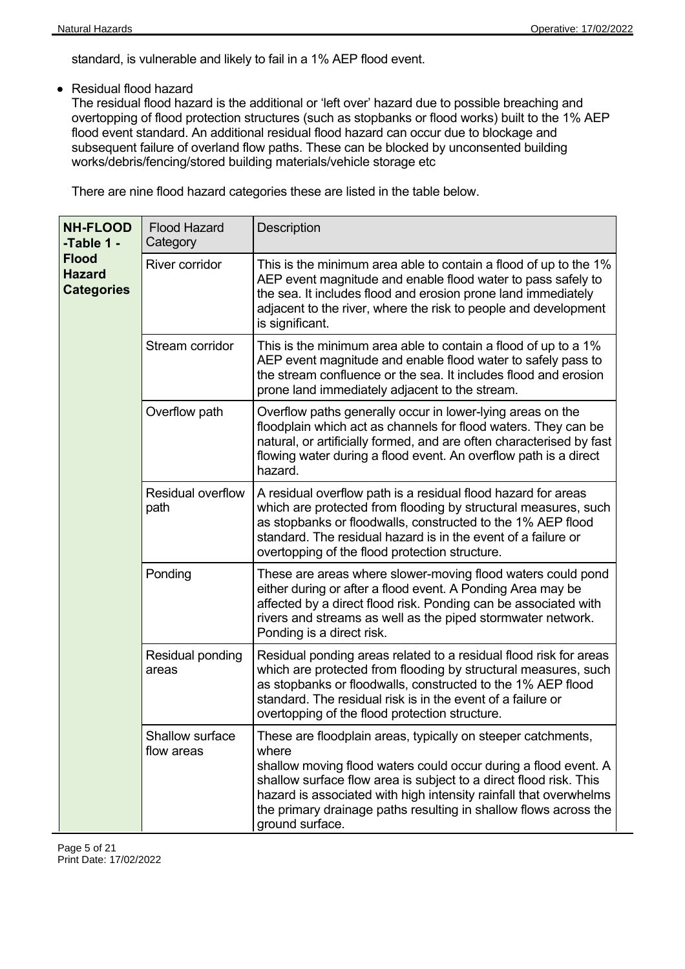standard, is vulnerable and likely to fail in a 1% AEP flood event.

Residual flood hazard

The residual flood hazard is the additional or 'left over' hazard due to possible breaching and overtopping of flood protection structures (such as stopbanks or flood works) built to the 1% AEP flood event standard. An additional residual flood hazard can occur due to blockage and subsequent failure of overland flow paths. These can be blocked by unconsented building works/debris/fencing/stored building materials/vehicle storage etc

There are nine flood hazard categories these are listed in the table below.

| <b>NH-FLOOD</b><br>-Table 1 -<br><b>Flood</b><br><b>Hazard</b><br><b>Categories</b> | <b>Flood Hazard</b><br>Category  | <b>Description</b>                                                                                                                                                                                                                                                                                                                                                        |
|-------------------------------------------------------------------------------------|----------------------------------|---------------------------------------------------------------------------------------------------------------------------------------------------------------------------------------------------------------------------------------------------------------------------------------------------------------------------------------------------------------------------|
|                                                                                     | <b>River corridor</b>            | This is the minimum area able to contain a flood of up to the 1%<br>AEP event magnitude and enable flood water to pass safely to<br>the sea. It includes flood and erosion prone land immediately<br>adjacent to the river, where the risk to people and development<br>is significant.                                                                                   |
|                                                                                     | Stream corridor                  | This is the minimum area able to contain a flood of up to a 1%<br>AEP event magnitude and enable flood water to safely pass to<br>the stream confluence or the sea. It includes flood and erosion<br>prone land immediately adjacent to the stream.                                                                                                                       |
|                                                                                     | Overflow path                    | Overflow paths generally occur in lower-lying areas on the<br>floodplain which act as channels for flood waters. They can be<br>natural, or artificially formed, and are often characterised by fast<br>flowing water during a flood event. An overflow path is a direct<br>hazard.                                                                                       |
|                                                                                     | <b>Residual overflow</b><br>path | A residual overflow path is a residual flood hazard for areas<br>which are protected from flooding by structural measures, such<br>as stopbanks or floodwalls, constructed to the 1% AEP flood<br>standard. The residual hazard is in the event of a failure or<br>overtopping of the flood protection structure.                                                         |
|                                                                                     | Ponding                          | These are areas where slower-moving flood waters could pond<br>either during or after a flood event. A Ponding Area may be<br>affected by a direct flood risk. Ponding can be associated with<br>rivers and streams as well as the piped stormwater network.<br>Ponding is a direct risk.                                                                                 |
|                                                                                     | Residual ponding<br>areas        | Residual ponding areas related to a residual flood risk for areas<br>which are protected from flooding by structural measures, such<br>as stopbanks or floodwalls, constructed to the 1% AEP flood<br>standard. The residual risk is in the event of a failure or<br>overtopping of the flood protection structure.                                                       |
|                                                                                     | Shallow surface<br>flow areas    | These are floodplain areas, typically on steeper catchments,<br>where<br>shallow moving flood waters could occur during a flood event. A<br>shallow surface flow area is subject to a direct flood risk. This<br>hazard is associated with high intensity rainfall that overwhelms<br>the primary drainage paths resulting in shallow flows across the<br>ground surface. |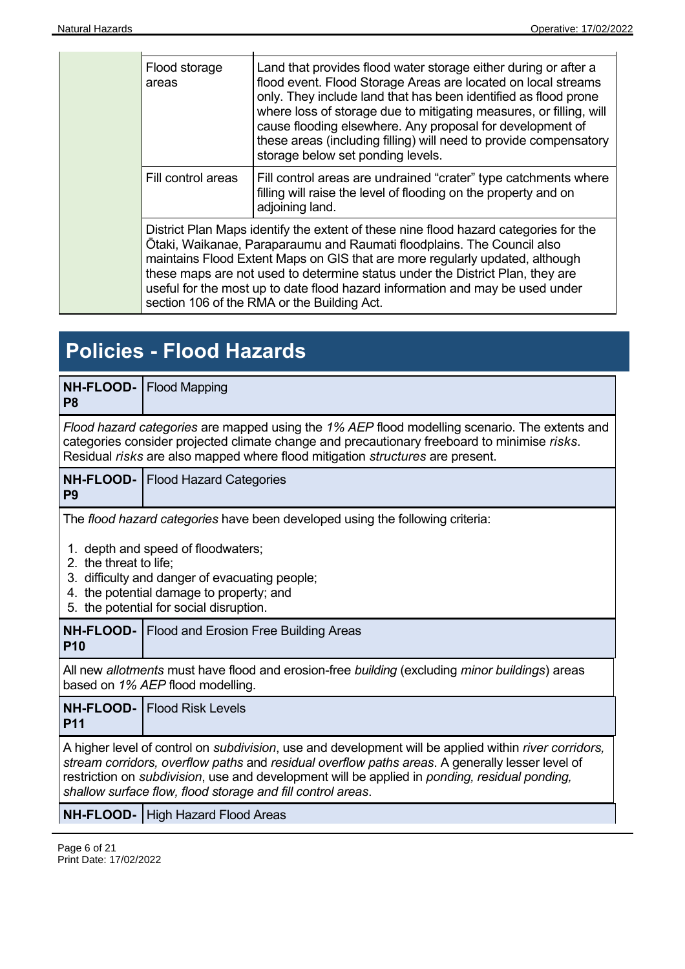| Flood storage<br>areas                                                                                                                                                                                                                                                                                                                                                                                                                                          | Land that provides flood water storage either during or after a<br>flood event. Flood Storage Areas are located on local streams<br>only. They include land that has been identified as flood prone<br>where loss of storage due to mitigating measures, or filling, will<br>cause flooding elsewhere. Any proposal for development of<br>these areas (including filling) will need to provide compensatory<br>storage below set ponding levels. |  |  |  |  |
|-----------------------------------------------------------------------------------------------------------------------------------------------------------------------------------------------------------------------------------------------------------------------------------------------------------------------------------------------------------------------------------------------------------------------------------------------------------------|--------------------------------------------------------------------------------------------------------------------------------------------------------------------------------------------------------------------------------------------------------------------------------------------------------------------------------------------------------------------------------------------------------------------------------------------------|--|--|--|--|
| Fill control areas                                                                                                                                                                                                                                                                                                                                                                                                                                              | Fill control areas are undrained "crater" type catchments where<br>filling will raise the level of flooding on the property and on<br>adjoining land.                                                                                                                                                                                                                                                                                            |  |  |  |  |
| District Plan Maps identify the extent of these nine flood hazard categories for the<br>Ōtaki, Waikanae, Paraparaumu and Raumati floodplains. The Council also<br>maintains Flood Extent Maps on GIS that are more regularly updated, although<br>these maps are not used to determine status under the District Plan, they are<br>useful for the most up to date flood hazard information and may be used under<br>section 106 of the RMA or the Building Act. |                                                                                                                                                                                                                                                                                                                                                                                                                                                  |  |  |  |  |

# **Policies - Flood Hazards**

| NH-FLOOD-<br>P <sub>8</sub>                                                                                                                                                                                                                                                                                                                                                              | <b>Flood Mapping</b>                                                                                                                                                                                                                                                          |  |  |  |  |  |
|------------------------------------------------------------------------------------------------------------------------------------------------------------------------------------------------------------------------------------------------------------------------------------------------------------------------------------------------------------------------------------------|-------------------------------------------------------------------------------------------------------------------------------------------------------------------------------------------------------------------------------------------------------------------------------|--|--|--|--|--|
|                                                                                                                                                                                                                                                                                                                                                                                          | Flood hazard categories are mapped using the 1% AEP flood modelling scenario. The extents and<br>categories consider projected climate change and precautionary freeboard to minimise risks.<br>Residual risks are also mapped where flood mitigation structures are present. |  |  |  |  |  |
| NH-FLOOD-<br>P <sub>9</sub>                                                                                                                                                                                                                                                                                                                                                              | <b>Flood Hazard Categories</b>                                                                                                                                                                                                                                                |  |  |  |  |  |
| 2. the threat to life;                                                                                                                                                                                                                                                                                                                                                                   | The flood hazard categories have been developed using the following criteria:<br>1. depth and speed of floodwaters;<br>3. difficulty and danger of evacuating people;<br>4. the potential damage to property; and<br>5. the potential for social disruption.                  |  |  |  |  |  |
| <b>P10</b>                                                                                                                                                                                                                                                                                                                                                                               | <b>NH-FLOOD-</b>   Flood and Erosion Free Building Areas                                                                                                                                                                                                                      |  |  |  |  |  |
|                                                                                                                                                                                                                                                                                                                                                                                          | All new allotments must have flood and erosion-free building (excluding minor buildings) areas<br>based on 1% AEP flood modelling.                                                                                                                                            |  |  |  |  |  |
| <b>P11</b>                                                                                                                                                                                                                                                                                                                                                                               | <b>NH-FLOOD-</b> Flood Risk Levels                                                                                                                                                                                                                                            |  |  |  |  |  |
| A higher level of control on <i>subdivision</i> , use and development will be applied within <i>river corridors</i> ,<br>stream corridors, overflow paths and residual overflow paths areas. A generally lesser level of<br>restriction on subdivision, use and development will be applied in ponding, residual ponding,<br>shallow surface flow, flood storage and fill control areas. |                                                                                                                                                                                                                                                                               |  |  |  |  |  |
|                                                                                                                                                                                                                                                                                                                                                                                          | <b>NH-FLOOD-</b>   High Hazard Flood Areas                                                                                                                                                                                                                                    |  |  |  |  |  |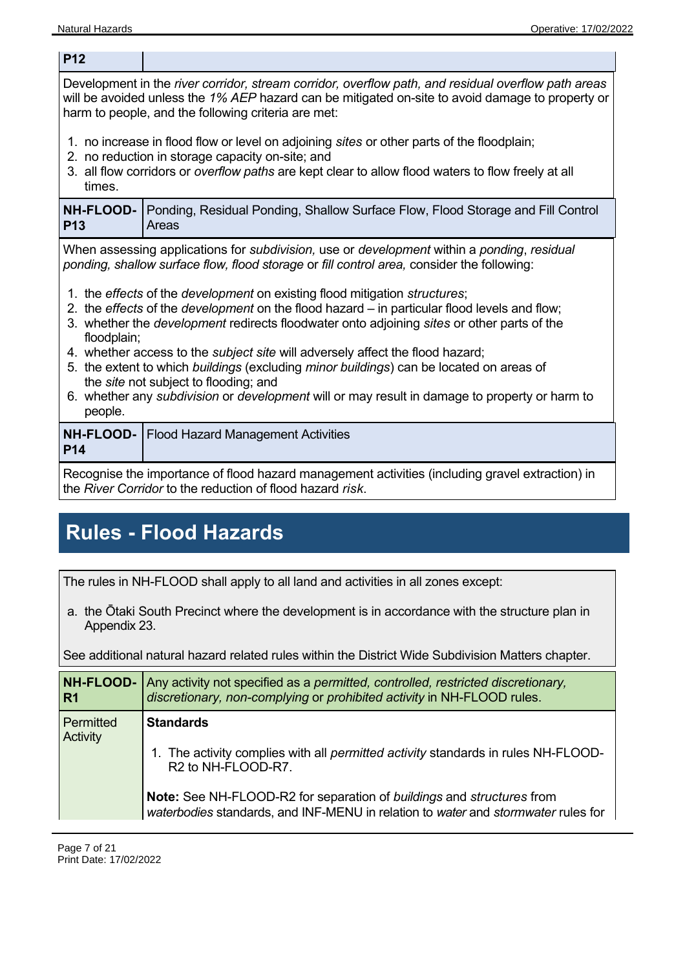**P12** 

Development in the *river corridor, stream corridor, overflow path, and residual overflow path areas* will be avoided unless the *1% AEP* hazard can be mitigated on-site to avoid damage to property or harm to people, and the following criteria are met:

- 1. no increase in flood flow or level on adjoining *sites* or other parts of the floodplain;
- 2. no reduction in storage capacity on-site; and
- 3. all flow corridors or *overflow paths* are kept clear to allow flood waters to flow freely at all times.

**NH-FLOOD-P13**  Ponding, Residual Ponding, Shallow Surface Flow, Flood Storage and Fill Control Areas

When assessing applications for *subdivision,* use or *development* within a *ponding*, *residual ponding, shallow surface flow, flood storage* or *fill control area,* consider the following:

- 1. the *effects* of the *development* on existing flood mitigation *structures*;
- 2. the *effects* of the *development* on the flood hazard in particular flood levels and flow;
- 3. whether the *development* redirects floodwater onto adjoining *sites* or other parts of the floodplain:
- 4. whether access to the *subject site* will adversely affect the flood hazard;
- 5. the extent to which *buildings* (excluding *minor buildings*) can be located on areas of the *site* not subject to flooding; and
- 6. whether any *subdivision* or *development* will or may result in damage to property or harm to people.

| <b>P14</b> |  |  |  | <b>NH-FLOOD-</b>   Flood Hazard Management Activities |                                                                                                                                                                                                                                |  |  |  |  |  |  |
|------------|--|--|--|-------------------------------------------------------|--------------------------------------------------------------------------------------------------------------------------------------------------------------------------------------------------------------------------------|--|--|--|--|--|--|
| $\sim$     |  |  |  |                                                       | restricted and the second control of the second control of the second control of the second control of the second second second and second control of the second second second second second second second second second secon |  |  |  |  |  |  |

Recognise the importance of flood hazard management activities (including gravel extraction) in the *River Corridor* to the reduction of flood hazard *risk*.

# **Rules - Flood Hazards**

The rules in NH-FLOOD shall apply to all land and activities in all zones except:

a. the Ōtaki South Precinct where the development is in accordance with the structure plan in Appendix 23.

See additional natural hazard related rules within the District Wide Subdivision Matters chapter.

| <b>NH-FLOOD-</b><br>R <sub>1</sub> | Any activity not specified as a permitted, controlled, restricted discretionary,<br>discretionary, non-complying or prohibited activity in NH-FLOOD rules.  |
|------------------------------------|-------------------------------------------------------------------------------------------------------------------------------------------------------------|
| Permitted<br><b>Activity</b>       | <b>Standards</b><br>1. The activity complies with all <i>permitted activity</i> standards in rules NH-FLOOD-<br>R <sub>2</sub> to NH-FLOOD-R <sub>7</sub> . |
|                                    | Note: See NH-FLOOD-R2 for separation of buildings and structures from<br>waterbodies standards, and INF-MENU in relation to water and stormwater rules for  |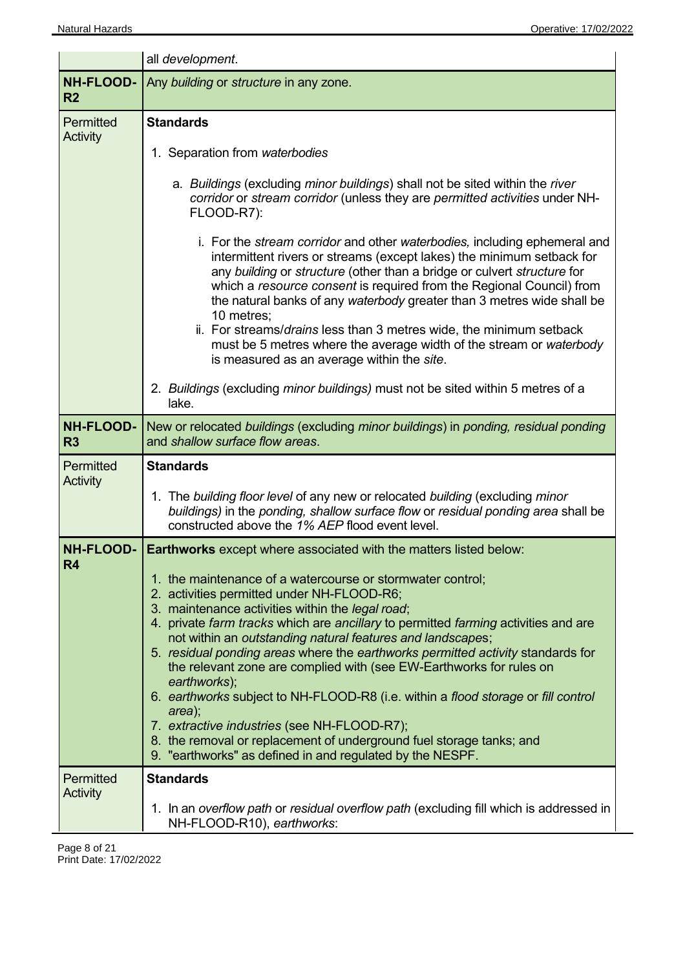|                                    | all development.                                                                                                                                                                                                                                                                                                                                                                                                                                                                                                                                                                                                                                                                                                                                                                                                                                                                                                |  |  |  |  |  |
|------------------------------------|-----------------------------------------------------------------------------------------------------------------------------------------------------------------------------------------------------------------------------------------------------------------------------------------------------------------------------------------------------------------------------------------------------------------------------------------------------------------------------------------------------------------------------------------------------------------------------------------------------------------------------------------------------------------------------------------------------------------------------------------------------------------------------------------------------------------------------------------------------------------------------------------------------------------|--|--|--|--|--|
| <b>NH-FLOOD-</b><br>R <sub>2</sub> | Any building or structure in any zone.                                                                                                                                                                                                                                                                                                                                                                                                                                                                                                                                                                                                                                                                                                                                                                                                                                                                          |  |  |  |  |  |
| Permitted<br>Activity              | <b>Standards</b><br>1. Separation from waterbodies<br>a. Buildings (excluding minor buildings) shall not be sited within the river<br>corridor or stream corridor (unless they are permitted activities under NH-<br>FLOOD-R7):<br>i. For the stream corridor and other waterbodies, including ephemeral and<br>intermittent rivers or streams (except lakes) the minimum setback for<br>any building or structure (other than a bridge or culvert structure for<br>which a resource consent is required from the Regional Council) from<br>the natural banks of any waterbody greater than 3 metres wide shall be<br>10 metres;<br>ii. For streams/drains less than 3 metres wide, the minimum setback<br>must be 5 metres where the average width of the stream or waterbody<br>is measured as an average within the site.<br>2. Buildings (excluding minor buildings) must not be sited within 5 metres of a |  |  |  |  |  |
| <b>NH-FLOOD-</b>                   | lake.<br>New or relocated buildings (excluding minor buildings) in ponding, residual ponding                                                                                                                                                                                                                                                                                                                                                                                                                                                                                                                                                                                                                                                                                                                                                                                                                    |  |  |  |  |  |
| R <sub>3</sub>                     | and shallow surface flow areas.                                                                                                                                                                                                                                                                                                                                                                                                                                                                                                                                                                                                                                                                                                                                                                                                                                                                                 |  |  |  |  |  |
| Permitted<br>Activity              | <b>Standards</b><br>1. The building floor level of any new or relocated building (excluding minor<br>buildings) in the ponding, shallow surface flow or residual ponding area shall be<br>constructed above the 1% AEP flood event level.                                                                                                                                                                                                                                                                                                                                                                                                                                                                                                                                                                                                                                                                       |  |  |  |  |  |
| <b>NH-FLOOD-</b><br>R <sub>4</sub> | <b>Earthworks</b> except where associated with the matters listed below:<br>1. the maintenance of a watercourse or stormwater control;<br>2. activities permitted under NH-FLOOD-R6;<br>3. maintenance activities within the legal road;<br>4. private farm tracks which are ancillary to permitted farming activities and are<br>not within an outstanding natural features and landscapes;<br>5. residual ponding areas where the earthworks permitted activity standards for<br>the relevant zone are complied with (see EW-Earthworks for rules on<br>earthworks);<br>6. earthworks subject to NH-FLOOD-R8 (i.e. within a flood storage or fill control<br>area);<br>7. extractive industries (see NH-FLOOD-R7);<br>8. the removal or replacement of underground fuel storage tanks; and<br>9. "earthworks" as defined in and regulated by the NESPF.                                                       |  |  |  |  |  |
| Permitted<br>Activity              | <b>Standards</b><br>1. In an overflow path or residual overflow path (excluding fill which is addressed in<br>NH-FLOOD-R10), earthworks:                                                                                                                                                                                                                                                                                                                                                                                                                                                                                                                                                                                                                                                                                                                                                                        |  |  |  |  |  |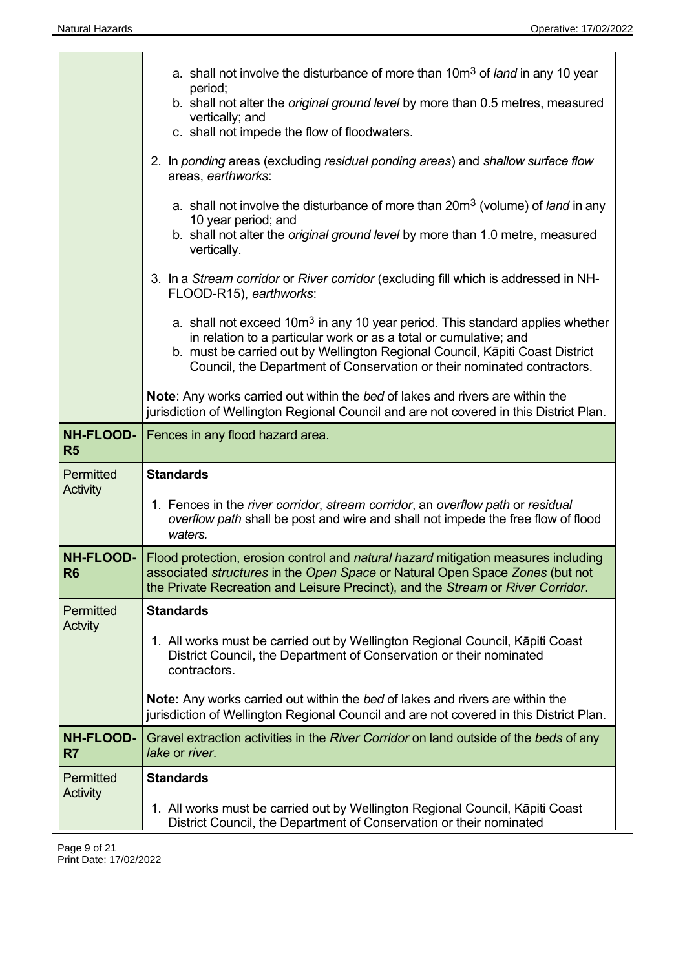|                                    | a. shall not involve the disturbance of more than 10m <sup>3</sup> of <i>land</i> in any 10 year<br>period;<br>b. shall not alter the original ground level by more than 0.5 metres, measured<br>vertically; and<br>c. shall not impede the flow of floodwaters.<br>2. In ponding areas (excluding residual ponding areas) and shallow surface flow<br>areas, earthworks:<br>a. shall not involve the disturbance of more than 20m <sup>3</sup> (volume) of <i>land</i> in any<br>10 year period; and<br>b. shall not alter the <i>original ground level</i> by more than 1.0 metre, measured<br>vertically. |
|------------------------------------|--------------------------------------------------------------------------------------------------------------------------------------------------------------------------------------------------------------------------------------------------------------------------------------------------------------------------------------------------------------------------------------------------------------------------------------------------------------------------------------------------------------------------------------------------------------------------------------------------------------|
|                                    | 3. In a Stream corridor or River corridor (excluding fill which is addressed in NH-<br>FLOOD-R15), earthworks:<br>a. shall not exceed 10m <sup>3</sup> in any 10 year period. This standard applies whether<br>in relation to a particular work or as a total or cumulative; and                                                                                                                                                                                                                                                                                                                             |
|                                    | b. must be carried out by Wellington Regional Council, Kāpiti Coast District<br>Council, the Department of Conservation or their nominated contractors.<br><b>Note:</b> Any works carried out within the bed of lakes and rivers are within the<br>jurisdiction of Wellington Regional Council and are not covered in this District Plan.                                                                                                                                                                                                                                                                    |
| <b>NH-FLOOD-</b><br><b>R5</b>      | Fences in any flood hazard area.                                                                                                                                                                                                                                                                                                                                                                                                                                                                                                                                                                             |
| Permitted<br><b>Activity</b>       | <b>Standards</b><br>1. Fences in the river corridor, stream corridor, an overflow path or residual<br>overflow path shall be post and wire and shall not impede the free flow of flood<br>waters.                                                                                                                                                                                                                                                                                                                                                                                                            |
| R <sub>6</sub>                     | NH-FLOOD-   Flood protection, erosion control and natural hazard mitigation measures including<br>associated structures in the Open Space or Natural Open Space Zones (but not<br>the Private Recreation and Leisure Precinct), and the Stream or River Corridor.                                                                                                                                                                                                                                                                                                                                            |
| Permitted<br><b>Actvity</b>        | <b>Standards</b><br>1. All works must be carried out by Wellington Regional Council, Kāpiti Coast<br>District Council, the Department of Conservation or their nominated<br>contractors.<br>Note: Any works carried out within the bed of lakes and rivers are within the<br>jurisdiction of Wellington Regional Council and are not covered in this District Plan.                                                                                                                                                                                                                                          |
| <b>NH-FLOOD-</b><br>R <sub>7</sub> | Gravel extraction activities in the River Corridor on land outside of the beds of any<br>lake or river.                                                                                                                                                                                                                                                                                                                                                                                                                                                                                                      |
| Permitted<br><b>Activity</b>       | <b>Standards</b><br>1. All works must be carried out by Wellington Regional Council, Kāpiti Coast<br>District Council, the Department of Conservation or their nominated                                                                                                                                                                                                                                                                                                                                                                                                                                     |

 $\overline{\phantom{a}}$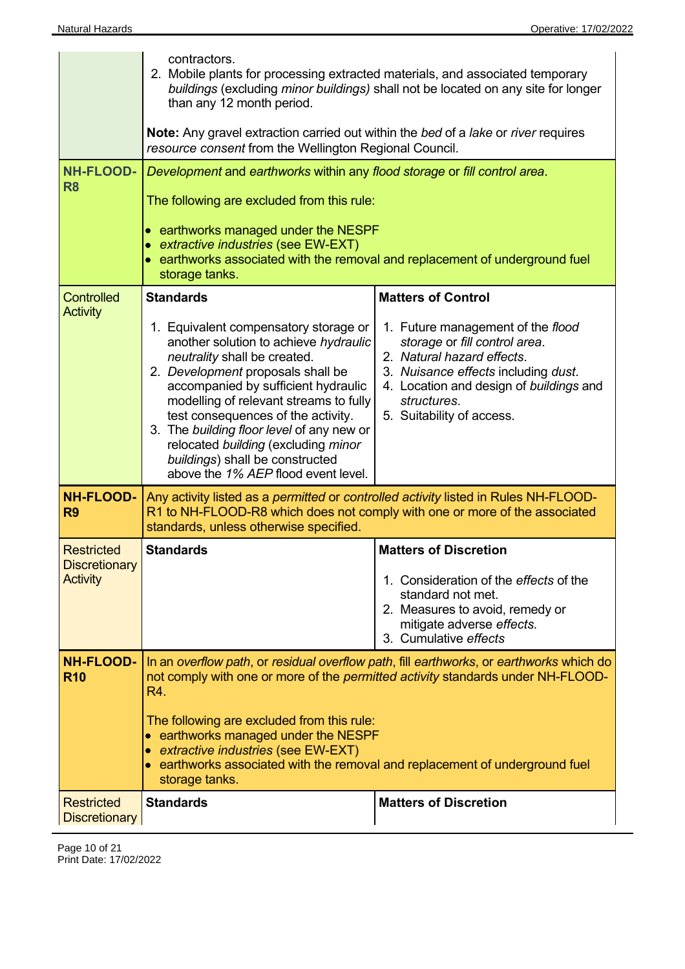|                                                              | contractors.<br>2. Mobile plants for processing extracted materials, and associated temporary<br>buildings (excluding minor buildings) shall not be located on any site for longer<br>than any 12 month period.<br><b>Note:</b> Any gravel extraction carried out within the bed of a lake or river requires<br>resource consent from the Wellington Regional Council.                                                                                                                                                                                                                                                                                                                                                      |                                                                                                                                                                                      |  |  |  |  |
|--------------------------------------------------------------|-----------------------------------------------------------------------------------------------------------------------------------------------------------------------------------------------------------------------------------------------------------------------------------------------------------------------------------------------------------------------------------------------------------------------------------------------------------------------------------------------------------------------------------------------------------------------------------------------------------------------------------------------------------------------------------------------------------------------------|--------------------------------------------------------------------------------------------------------------------------------------------------------------------------------------|--|--|--|--|
| <b>NH-FLOOD-</b><br>R <sub>8</sub>                           | Development and earthworks within any flood storage or fill control area.<br>The following are excluded from this rule:<br>• earthworks managed under the NESPF<br>• extractive industries (see EW-EXT)<br>earthworks associated with the removal and replacement of underground fuel<br>storage tanks.                                                                                                                                                                                                                                                                                                                                                                                                                     |                                                                                                                                                                                      |  |  |  |  |
| <b>Controlled</b><br><b>Activity</b>                         | <b>Standards</b><br><b>Matters of Control</b><br>1. Equivalent compensatory storage or<br>1. Future management of the flood<br>another solution to achieve hydraulic<br>storage or fill control area.<br>neutrality shall be created.<br>2. Natural hazard effects.<br>2. Development proposals shall be<br>3. Nuisance effects including dust.<br>accompanied by sufficient hydraulic<br>4. Location and design of buildings and<br>modelling of relevant streams to fully<br>structures.<br>test consequences of the activity.<br>5. Suitability of access.<br>3. The building floor level of any new or<br>relocated building (excluding minor<br>buildings) shall be constructed<br>above the 1% AEP flood event level. |                                                                                                                                                                                      |  |  |  |  |
| <b>NH-FLOOD-</b><br>R <sub>9</sub>                           | Any activity listed as a permitted or controlled activity listed in Rules NH-FLOOD-<br>R1 to NH-FLOOD-R8 which does not comply with one or more of the associated<br>standards, unless otherwise specified.                                                                                                                                                                                                                                                                                                                                                                                                                                                                                                                 |                                                                                                                                                                                      |  |  |  |  |
| <b>Restricted</b><br><b>Discretionary</b><br><b>Activity</b> | <b>Standards</b>                                                                                                                                                                                                                                                                                                                                                                                                                                                                                                                                                                                                                                                                                                            | <b>Matters of Discretion</b><br>1. Consideration of the effects of the<br>standard not met.<br>2. Measures to avoid, remedy or<br>mitigate adverse effects.<br>3. Cumulative effects |  |  |  |  |
| <b>NH-FLOOD-</b><br><b>R10</b>                               | R4.<br>The following are excluded from this rule:<br>• earthworks managed under the NESPF<br>• extractive industries (see EW-EXT)<br>• earthworks associated with the removal and replacement of underground fuel<br>storage tanks.                                                                                                                                                                                                                                                                                                                                                                                                                                                                                         | In an overflow path, or residual overflow path, fill earthworks, or earthworks which do<br>not comply with one or more of the <i>permitted activity</i> standards under NH-FLOOD-    |  |  |  |  |
| <b>Restricted</b><br><b>Discretionary</b>                    | <b>Standards</b>                                                                                                                                                                                                                                                                                                                                                                                                                                                                                                                                                                                                                                                                                                            | <b>Matters of Discretion</b>                                                                                                                                                         |  |  |  |  |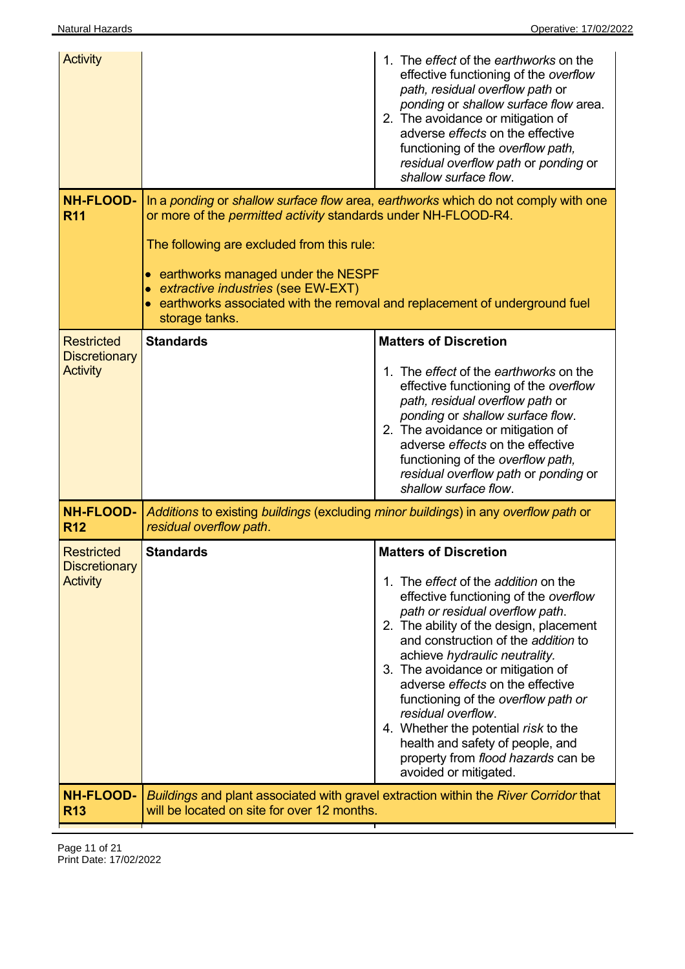| <b>Activity</b>                                              |                                                                                                                                                                                                                                                                                                     | 1. The effect of the earthworks on the<br>effective functioning of the overflow<br>path, residual overflow path or<br>ponding or shallow surface flow area.<br>2. The avoidance or mitigation of<br>adverse effects on the effective<br>functioning of the overflow path,<br>residual overflow path or ponding or<br>shallow surface flow.                                                                                                                                                                                                                         |
|--------------------------------------------------------------|-----------------------------------------------------------------------------------------------------------------------------------------------------------------------------------------------------------------------------------------------------------------------------------------------------|--------------------------------------------------------------------------------------------------------------------------------------------------------------------------------------------------------------------------------------------------------------------------------------------------------------------------------------------------------------------------------------------------------------------------------------------------------------------------------------------------------------------------------------------------------------------|
| <b>NH-FLOOD-</b><br><b>R11</b>                               | or more of the <i>permitted activity</i> standards under NH-FLOOD-R4.<br>The following are excluded from this rule:<br>• earthworks managed under the NESPF<br>• extractive industries (see EW-EXT)<br>earthworks associated with the removal and replacement of underground fuel<br>storage tanks. | In a ponding or shallow surface flow area, earthworks which do not comply with one                                                                                                                                                                                                                                                                                                                                                                                                                                                                                 |
| <b>Restricted</b><br><b>Discretionary</b><br><b>Activity</b> | <b>Standards</b>                                                                                                                                                                                                                                                                                    | <b>Matters of Discretion</b><br>1. The effect of the earthworks on the<br>effective functioning of the overflow<br>path, residual overflow path or<br>ponding or shallow surface flow.<br>2. The avoidance or mitigation of<br>adverse effects on the effective<br>functioning of the overflow path,<br>residual overflow path or ponding or<br>shallow surface flow.                                                                                                                                                                                              |
| <b>NH-FLOOD-</b><br><b>R12</b>                               | Additions to existing buildings (excluding minor buildings) in any overflow path or<br>residual overflow path.                                                                                                                                                                                      |                                                                                                                                                                                                                                                                                                                                                                                                                                                                                                                                                                    |
| <b>Restricted</b><br><b>Discretionary</b><br><b>Activity</b> | <b>Standards</b>                                                                                                                                                                                                                                                                                    | <b>Matters of Discretion</b><br>1. The <i>effect</i> of the <i>addition</i> on the<br>effective functioning of the overflow<br>path or residual overflow path.<br>2. The ability of the design, placement<br>and construction of the addition to<br>achieve hydraulic neutrality.<br>3. The avoidance or mitigation of<br>adverse effects on the effective<br>functioning of the overflow path or<br>residual overflow.<br>4. Whether the potential risk to the<br>health and safety of people, and<br>property from flood hazards can be<br>avoided or mitigated. |
| <b>NH-FLOOD-</b><br><b>R13</b>                               | will be located on site for over 12 months.                                                                                                                                                                                                                                                         | Buildings and plant associated with gravel extraction within the River Corridor that                                                                                                                                                                                                                                                                                                                                                                                                                                                                               |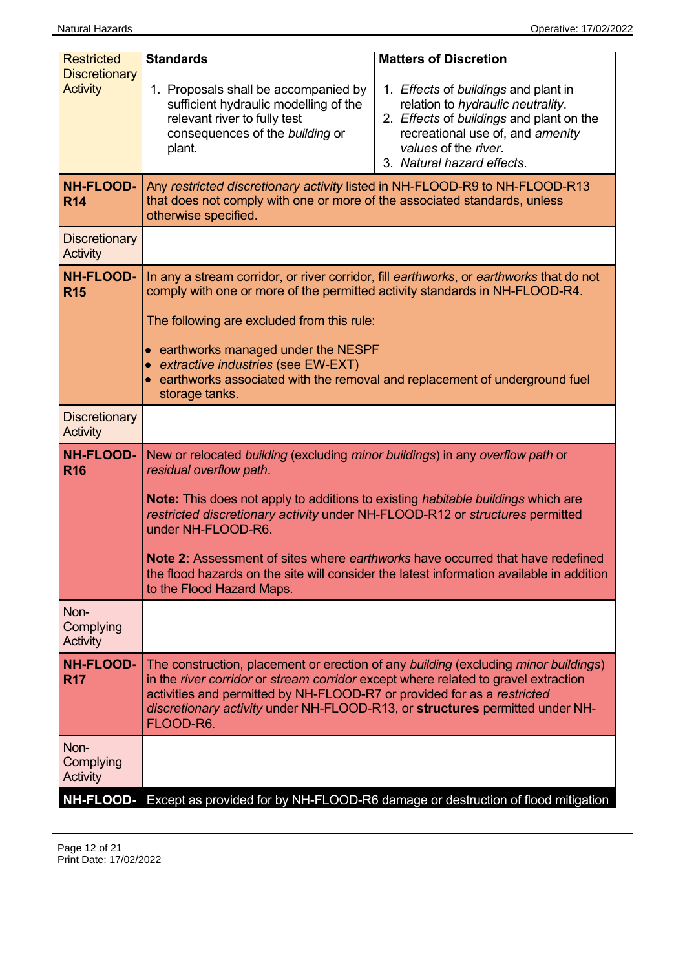| <b>Restricted</b><br><b>Discretionary</b><br><b>Activity</b><br><b>NH-FLOOD-</b><br><b>R14</b> | <b>Standards</b><br>1. Proposals shall be accompanied by<br>sufficient hydraulic modelling of the<br>relevant river to fully test<br>consequences of the building or<br>plant.<br>Any restricted discretionary activity listed in NH-FLOOD-R9 to NH-FLOOD-R13<br>that does not comply with one or more of the associated standards, unless<br>otherwise specified.                                     | <b>Matters of Discretion</b><br>1. Effects of buildings and plant in<br>relation to hydraulic neutrality.<br>2. Effects of buildings and plant on the<br>recreational use of, and amenity<br>values of the river.<br>3. Natural hazard effects. |  |  |  |
|------------------------------------------------------------------------------------------------|--------------------------------------------------------------------------------------------------------------------------------------------------------------------------------------------------------------------------------------------------------------------------------------------------------------------------------------------------------------------------------------------------------|-------------------------------------------------------------------------------------------------------------------------------------------------------------------------------------------------------------------------------------------------|--|--|--|
| <b>Discretionary</b><br><b>Activity</b>                                                        |                                                                                                                                                                                                                                                                                                                                                                                                        |                                                                                                                                                                                                                                                 |  |  |  |
| <b>NH-FLOOD-</b><br><b>R15</b>                                                                 | In any a stream corridor, or river corridor, fill earthworks, or earthworks that do not<br>comply with one or more of the permitted activity standards in NH-FLOOD-R4.<br>The following are excluded from this rule:<br>• earthworks managed under the NESPF<br>• extractive industries (see EW-EXT)<br>• earthworks associated with the removal and replacement of underground fuel<br>storage tanks. |                                                                                                                                                                                                                                                 |  |  |  |
| <b>Discretionary</b><br>Activity                                                               |                                                                                                                                                                                                                                                                                                                                                                                                        |                                                                                                                                                                                                                                                 |  |  |  |
| <b>NH-FLOOD-</b><br><b>R16</b>                                                                 | New or relocated building (excluding minor buildings) in any overflow path or<br>residual overflow path.<br><b>Note:</b> This does not apply to additions to existing <i>habitable buildings</i> which are<br>restricted discretionary activity under NH-FLOOD-R12 or structures permitted<br>under NH-FLOOD-R6.<br>to the Flood Hazard Maps.                                                          | <b>Note 2:</b> Assessment of sites where <i>earthworks</i> have occurred that have redefined<br>the flood hazards on the site will consider the latest information available in addition                                                        |  |  |  |
| Non-<br>Complying<br>Activity                                                                  |                                                                                                                                                                                                                                                                                                                                                                                                        |                                                                                                                                                                                                                                                 |  |  |  |
| <b>NH-FLOOD-</b><br><b>R17</b>                                                                 | The construction, placement or erection of any building (excluding minor buildings)<br>in the <i>river corridor</i> or <i>stream corridor</i> except where related to gravel extraction<br>activities and permitted by NH-FLOOD-R7 or provided for as a restricted<br>discretionary activity under NH-FLOOD-R13, or structures permitted under NH-<br>FLOOD-R6.                                        |                                                                                                                                                                                                                                                 |  |  |  |
| Non-<br>Complying<br>Activity                                                                  |                                                                                                                                                                                                                                                                                                                                                                                                        |                                                                                                                                                                                                                                                 |  |  |  |
|                                                                                                |                                                                                                                                                                                                                                                                                                                                                                                                        | NH-FLOOD- Except as provided for by NH-FLOOD-R6 damage or destruction of flood mitigation                                                                                                                                                       |  |  |  |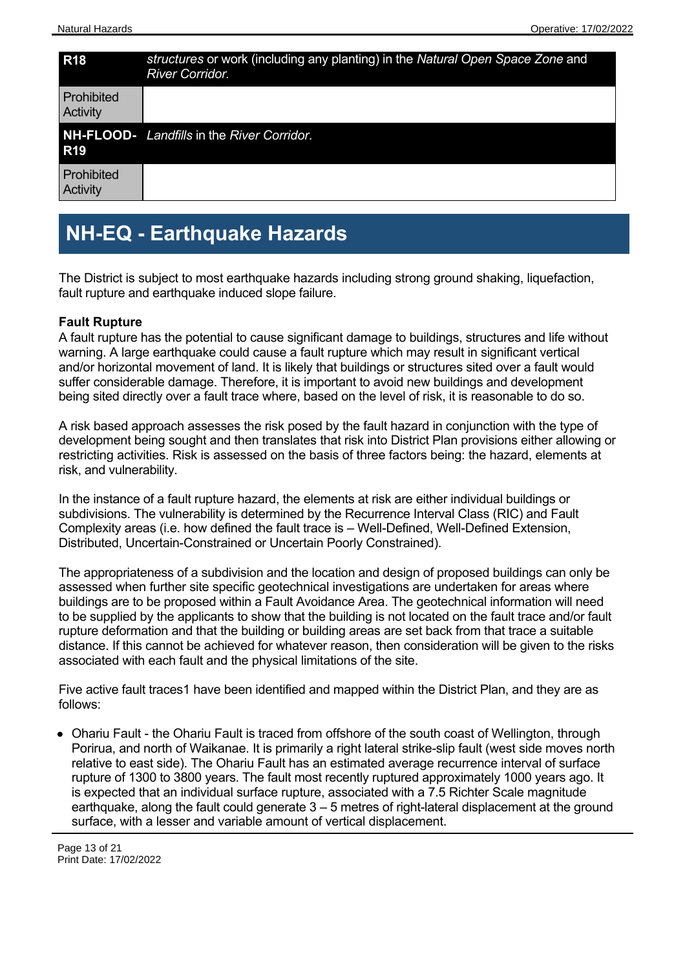| <b>R18</b>             | structures or work (including any planting) in the Natural Open Space Zone and<br><b>River Corridor.</b> |
|------------------------|----------------------------------------------------------------------------------------------------------|
| Prohibited<br>Activity |                                                                                                          |
| <b>R19</b>             | <b>NH-FLOOD-</b> Landfills in the River Corridor.                                                        |
| Prohibited<br>Activity |                                                                                                          |

### **NH-EQ - Earthquake Hazards**

The District is subject to most earthquake hazards including strong ground shaking, liquefaction, fault rupture and earthquake induced slope failure.

#### **Fault Rupture**

A fault rupture has the potential to cause significant damage to buildings, structures and life without warning. A large earthquake could cause a fault rupture which may result in significant vertical and/or horizontal movement of land. It is likely that buildings or structures sited over a fault would suffer considerable damage. Therefore, it is important to avoid new buildings and development being sited directly over a fault trace where, based on the level of risk, it is reasonable to do so.

A risk based approach assesses the risk posed by the fault hazard in conjunction with the type of development being sought and then translates that risk into District Plan provisions either allowing or restricting activities. Risk is assessed on the basis of three factors being: the hazard, elements at risk, and vulnerability.

In the instance of a fault rupture hazard, the elements at risk are either individual buildings or subdivisions. The vulnerability is determined by the Recurrence Interval Class (RIC) and Fault Complexity areas (i.e. how defined the fault trace is – Well-Defined, Well-Defined Extension, Distributed, Uncertain-Constrained or Uncertain Poorly Constrained).

The appropriateness of a subdivision and the location and design of proposed buildings can only be assessed when further site specific geotechnical investigations are undertaken for areas where buildings are to be proposed within a Fault Avoidance Area. The geotechnical information will need to be supplied by the applicants to show that the building is not located on the fault trace and/or fault rupture deformation and that the building or building areas are set back from that trace a suitable distance. If this cannot be achieved for whatever reason, then consideration will be given to the risks associated with each fault and the physical limitations of the site.

Five active fault traces1 have been identified and mapped within the District Plan, and they are as follows:

• Ohariu Fault - the Ohariu Fault is traced from offshore of the south coast of Wellington, through Porirua, and north of Waikanae. It is primarily a right lateral strike-slip fault (west side moves north relative to east side). The Ohariu Fault has an estimated average recurrence interval of surface rupture of 1300 to 3800 years. The fault most recently ruptured approximately 1000 years ago. It is expected that an individual surface rupture, associated with a 7.5 Richter Scale magnitude earthquake, along the fault could generate  $3 - 5$  metres of right-lateral displacement at the ground surface, with a lesser and variable amount of vertical displacement.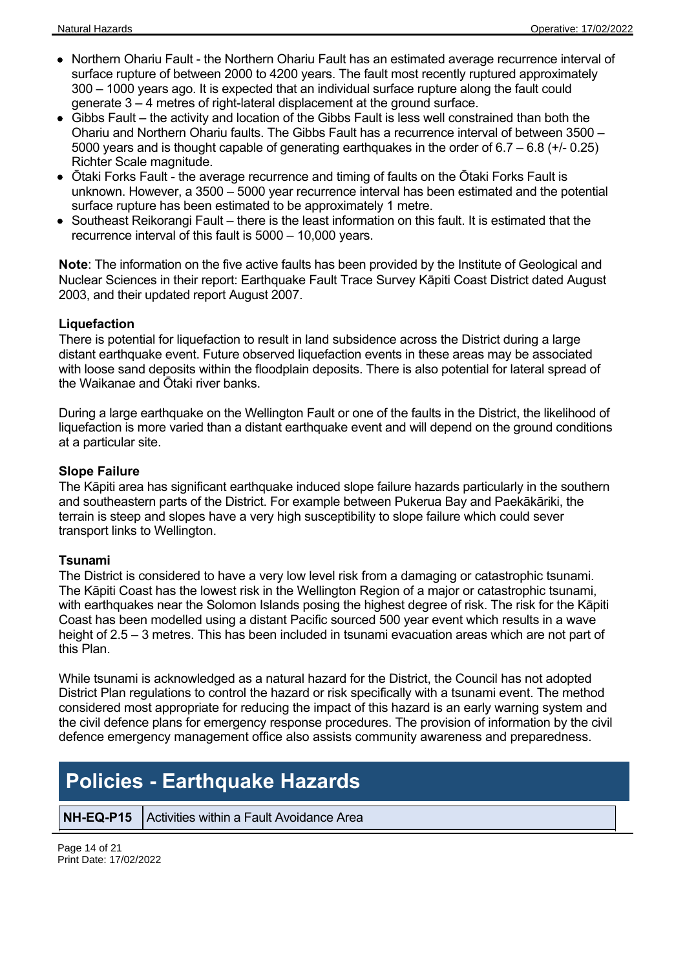- Northern Ohariu Fault the Northern Ohariu Fault has an estimated average recurrence interval of surface rupture of between 2000 to 4200 years. The fault most recently ruptured approximately 300 – 1000 years ago. It is expected that an individual surface rupture along the fault could generate 3 – 4 metres of right-lateral displacement at the ground surface.
- Gibbs Fault the activity and location of the Gibbs Fault is less well constrained than both the Ohariu and Northern Ohariu faults. The Gibbs Fault has a recurrence interval of between 3500 – 5000 years and is thought capable of generating earthquakes in the order of 6.7 – 6.8 (+/- 0.25) Richter Scale magnitude.
- $\bullet$ Ōtaki Forks Fault - the average recurrence and timing of faults on the Ōtaki Forks Fault is unknown. However, a 3500 – 5000 year recurrence interval has been estimated and the potential surface rupture has been estimated to be approximately 1 metre.
- Southeast Reikorangi Fault there is the least information on this fault. It is estimated that the recurrence interval of this fault is 5000 – 10,000 years.

**Note**: The information on the five active faults has been provided by the Institute of Geological and Nuclear Sciences in their report: Earthquake Fault Trace Survey Kāpiti Coast District dated August 2003, and their updated report August 2007.

### **Liquefaction**

There is potential for liquefaction to result in land subsidence across the District during a large distant earthquake event. Future observed liquefaction events in these areas may be associated with loose sand deposits within the floodplain deposits. There is also potential for lateral spread of the Waikanae and Ōtaki river banks.

During a large earthquake on the Wellington Fault or one of the faults in the District, the likelihood of liquefaction is more varied than a distant earthquake event and will depend on the ground conditions at a particular site.

### **Slope Failure**

The Kāpiti area has significant earthquake induced slope failure hazards particularly in the southern and southeastern parts of the District. For example between Pukerua Bay and Paekākāriki, the terrain is steep and slopes have a very high susceptibility to slope failure which could sever transport links to Wellington.

#### **Tsunami**

The District is considered to have a very low level risk from a damaging or catastrophic tsunami. The Kāpiti Coast has the lowest risk in the Wellington Region of a major or catastrophic tsunami, with earthquakes near the Solomon Islands posing the highest degree of risk. The risk for the Kāpiti Coast has been modelled using a distant Pacific sourced 500 year event which results in a wave height of 2.5 – 3 metres. This has been included in tsunami evacuation areas which are not part of this Plan.

While tsunami is acknowledged as a natural hazard for the District, the Council has not adopted District Plan regulations to control the hazard or risk specifically with a tsunami event. The method considered most appropriate for reducing the impact of this hazard is an early warning system and the civil defence plans for emergency response procedures. The provision of information by the civil defence emergency management office also assists community awareness and preparedness.

# **Policies - Earthquake Hazards**

**NH-EQ-P15** Activities within a Fault Avoidance Area

Page 14 of 21 Print Date: 17/02/2022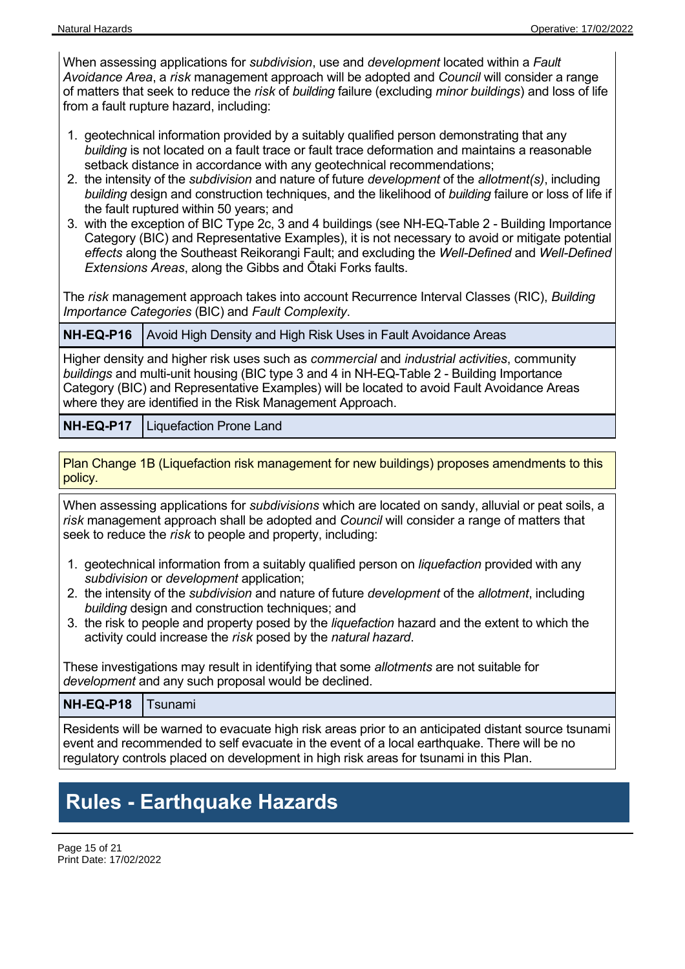When assessing applications for *subdivision*, use and *development* located within a *Fault Avoidance Area*, a *risk* management approach will be adopted and *Council* will consider a range of matters that seek to reduce the *risk* of *building* failure (excluding *minor buildings*) and loss of life from a fault rupture hazard, including:

- 1. geotechnical information provided by a suitably qualified person demonstrating that any *building* is not located on a fault trace or fault trace deformation and maintains a reasonable setback distance in accordance with any geotechnical recommendations;
- 2. the intensity of the *subdivision* and nature of future *development* of the *allotment(s)*, including *building* design and construction techniques, and the likelihood of *building* failure or loss of life if the fault ruptured within 50 years; and
- 3. with the exception of BIC Type 2c, 3 and 4 buildings (see NH-EQ-Table 2 Building Importance Category (BIC) and Representative Examples), it is not necessary to avoid or mitigate potential *effects* along the Southeast Reikorangi Fault; and excluding the *Well-Defined* and *Well-Defined Extensions Areas*, along the Gibbs and Ōtaki Forks faults.

The *risk* management approach takes into account Recurrence Interval Classes (RIC), *Building Importance Categories* (BIC) and *Fault Complexity*.

**NH-EQ-P16** Avoid High Density and High Risk Uses in Fault Avoidance Areas

Higher density and higher risk uses such as *commercial* and *industrial activities*, community *buildings* and multi-unit housing (BIC type 3 and 4 in NH-EQ-Table 2 - Building Importance Category (BIC) and Representative Examples) will be located to avoid Fault Avoidance Areas where they are identified in the Risk Management Approach.

**NH-EQ-P17** Liquefaction Prone Land

Plan Change 1B (Liquefaction risk management for new buildings) proposes amendments to this policy.

When assessing applications for *subdivisions* which are located on sandy, alluvial or peat soils, a *risk* management approach shall be adopted and *Council* will consider a range of matters that seek to reduce the *risk* to people and property, including:

- 1. geotechnical information from a suitably qualified person on *liquefaction* provided with any *subdivision* or *development* application;
- 2. the intensity of the *subdivision* and nature of future *development* of the *allotment*, including *building* design and construction techniques; and
- 3. the risk to people and property posed by the *liquefaction* hazard and the extent to which the activity could increase the *risk* posed by the *natural hazard*.

These investigations may result in identifying that some *allotments* are not suitable for *development* and any such proposal would be declined.

**NH-EQ-P18** Tsunami

Residents will be warned to evacuate high risk areas prior to an anticipated distant source tsunami event and recommended to self evacuate in the event of a local earthquake. There will be no regulatory controls placed on development in high risk areas for tsunami in this Plan.

# **Rules - Earthquake Hazards**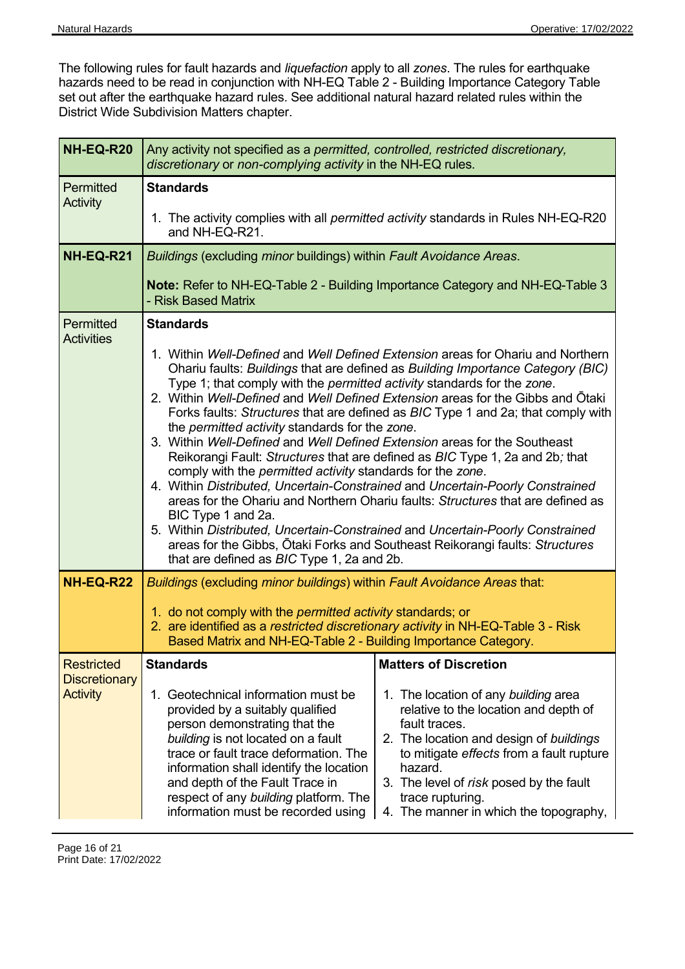The following rules for fault hazards and *liquefaction* apply to all *zones*. The rules for earthquake hazards need to be read in conjunction with NH-EQ Table 2 - Building Importance Category Table set out after the earthquake hazard rules. See additional natural hazard related rules within the District Wide Subdivision Matters chapter.

| NH-EQ-R20                                                    | Any activity not specified as a permitted, controlled, restricted discretionary,<br>discretionary or non-complying activity in the NH-EQ rules.                                                                                                                                                                                                                                                                                                                                                                                                                                                                                                                                                                                                                                                                                                                                                                                                                                                                                                                                                                                       |  |  |  |
|--------------------------------------------------------------|---------------------------------------------------------------------------------------------------------------------------------------------------------------------------------------------------------------------------------------------------------------------------------------------------------------------------------------------------------------------------------------------------------------------------------------------------------------------------------------------------------------------------------------------------------------------------------------------------------------------------------------------------------------------------------------------------------------------------------------------------------------------------------------------------------------------------------------------------------------------------------------------------------------------------------------------------------------------------------------------------------------------------------------------------------------------------------------------------------------------------------------|--|--|--|
| Permitted<br><b>Activity</b>                                 | <b>Standards</b><br>1. The activity complies with all <i>permitted activity</i> standards in Rules NH-EQ-R20<br>and NH-EQ-R21.                                                                                                                                                                                                                                                                                                                                                                                                                                                                                                                                                                                                                                                                                                                                                                                                                                                                                                                                                                                                        |  |  |  |
| NH-EQ-R21                                                    | Buildings (excluding minor buildings) within Fault Avoidance Areas.<br><b>Note: Refer to NH-EQ-Table 2 - Building Importance Category and NH-EQ-Table 3</b><br>- Risk Based Matrix                                                                                                                                                                                                                                                                                                                                                                                                                                                                                                                                                                                                                                                                                                                                                                                                                                                                                                                                                    |  |  |  |
| Permitted<br><b>Activities</b>                               | <b>Standards</b><br>1. Within Well-Defined and Well Defined Extension areas for Ohariu and Northern<br>Ohariu faults: Buildings that are defined as Building Importance Category (BIC)<br>Type 1; that comply with the <i>permitted activity</i> standards for the zone.<br>2. Within Well-Defined and Well Defined Extension areas for the Gibbs and Otaki<br>Forks faults: Structures that are defined as BIC Type 1 and 2a; that comply with<br>the permitted activity standards for the zone.<br>3. Within Well-Defined and Well Defined Extension areas for the Southeast<br>Reikorangi Fault: Structures that are defined as BIC Type 1, 2a and 2b; that<br>comply with the permitted activity standards for the zone.<br>4. Within Distributed, Uncertain-Constrained and Uncertain-Poorly Constrained<br>areas for the Ohariu and Northern Ohariu faults: Structures that are defined as<br>BIC Type 1 and 2a.<br>5. Within Distributed, Uncertain-Constrained and Uncertain-Poorly Constrained<br>areas for the Gibbs, Otaki Forks and Southeast Reikorangi faults: Structures<br>that are defined as BIC Type 1, 2a and 2b. |  |  |  |
| <b>NH-EQ-R22</b>                                             | Buildings (excluding minor buildings) within Fault Avoidance Areas that:<br>1. do not comply with the <i>permitted activity</i> standards; or<br>2. are identified as a restricted discretionary activity in NH-EQ-Table 3 - Risk<br>Based Matrix and NH-EQ-Table 2 - Building Importance Category.                                                                                                                                                                                                                                                                                                                                                                                                                                                                                                                                                                                                                                                                                                                                                                                                                                   |  |  |  |
| <b>Restricted</b><br><b>Discretionary</b><br><b>Activity</b> | <b>Standards</b><br><b>Matters of Discretion</b><br>Geotechnical information must be<br>1. The location of any building area<br>1.<br>provided by a suitably qualified<br>relative to the location and depth of<br>person demonstrating that the<br>fault traces.<br>building is not located on a fault<br>2. The location and design of buildings<br>trace or fault trace deformation. The<br>to mitigate effects from a fault rupture<br>information shall identify the location<br>hazard.<br>and depth of the Fault Trace in<br>3. The level of risk posed by the fault<br>respect of any building platform. The<br>trace rupturing.<br>information must be recorded using<br>4. The manner in which the topography,                                                                                                                                                                                                                                                                                                                                                                                                              |  |  |  |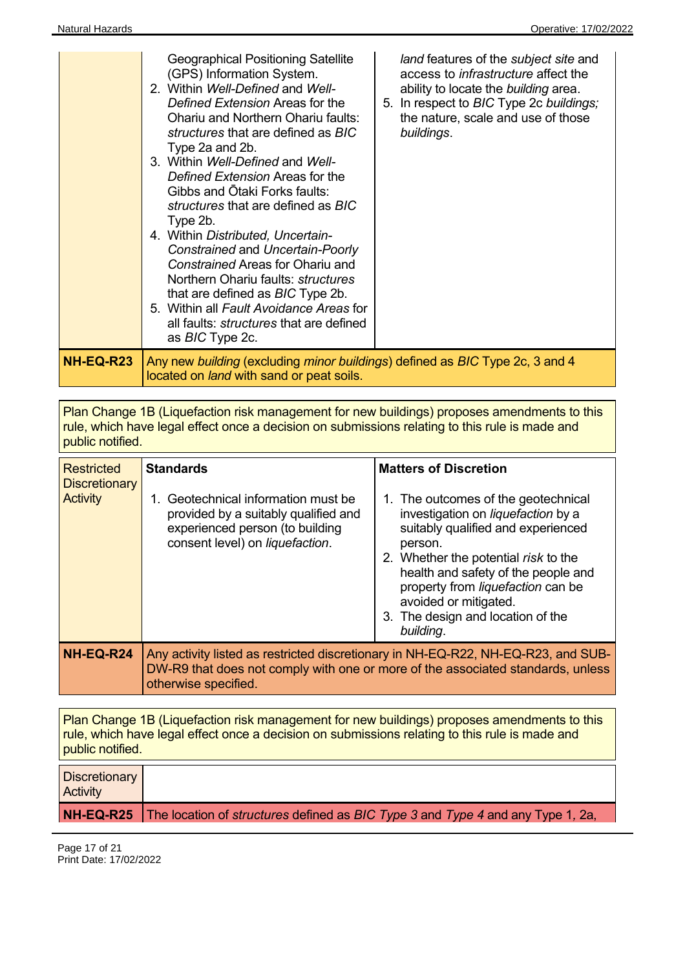|           | <b>Geographical Positioning Satellite</b><br>land features of the subject site and<br>(GPS) Information System.<br>access to infrastructure affect the<br>2. Within Well-Defined and Well-<br>ability to locate the building area.<br>Defined Extension Areas for the<br>5. In respect to BIC Type 2c buildings;<br>the nature, scale and use of those<br><b>Ohariu and Northern Ohariu faults:</b><br>buildings.<br><i>structures</i> that are defined as <i>BIC</i><br>Type 2a and 2b.<br>3. Within Well-Defined and Well-<br>Defined Extension Areas for the<br>Gibbs and Otaki Forks faults:<br>structures that are defined as BIC<br>Type 2b.<br>4. Within Distributed, Uncertain-<br>Constrained and Uncertain-Poorly<br>Constrained Areas for Ohariu and<br>Northern Ohariu faults: <i>structures</i><br>that are defined as BIC Type 2b.<br>5. Within all Fault Avoidance Areas for<br>all faults: <i>structures</i> that are defined<br>as <i>BIC</i> Type 2c. |
|-----------|-------------------------------------------------------------------------------------------------------------------------------------------------------------------------------------------------------------------------------------------------------------------------------------------------------------------------------------------------------------------------------------------------------------------------------------------------------------------------------------------------------------------------------------------------------------------------------------------------------------------------------------------------------------------------------------------------------------------------------------------------------------------------------------------------------------------------------------------------------------------------------------------------------------------------------------------------------------------------|
| NH-EQ-R23 | Any new building (excluding minor buildings) defined as BIC Type 2c, 3 and 4<br>located on land with sand or peat soils.                                                                                                                                                                                                                                                                                                                                                                                                                                                                                                                                                                                                                                                                                                                                                                                                                                                |

Plan Change 1B (Liquefaction risk management for new buildings) proposes amendments to this rule, which have legal effect once a decision on submissions relating to this rule is made and public notified.

| <b>Restricted</b><br><b>Discretionary</b><br><b>Activity</b> | <b>Standards</b><br>1. Geotechnical information must be<br>provided by a suitably qualified and<br>experienced person (to building<br>consent level) on liquefaction.                        | <b>Matters of Discretion</b><br>1. The outcomes of the geotechnical<br>investigation on liquefaction by a<br>suitably qualified and experienced<br>person.<br>2. Whether the potential risk to the<br>health and safety of the people and<br>property from liquefaction can be<br>avoided or mitigated.<br>3. The design and location of the<br>building. |
|--------------------------------------------------------------|----------------------------------------------------------------------------------------------------------------------------------------------------------------------------------------------|-----------------------------------------------------------------------------------------------------------------------------------------------------------------------------------------------------------------------------------------------------------------------------------------------------------------------------------------------------------|
| NH-EQ-R24                                                    | Any activity listed as restricted discretionary in NH-EQ-R22, NH-EQ-R23, and SUB-<br>DW-R9 that does not comply with one or more of the associated standards, unless<br>otherwise specified. |                                                                                                                                                                                                                                                                                                                                                           |

Plan Change 1B (Liquefaction risk management for new buildings) proposes amendments to this rule, which have legal effect once a decision on submissions relating to this rule is made and public notified.

| Discretionary<br><b>Activity</b> |                                                                                                                       |
|----------------------------------|-----------------------------------------------------------------------------------------------------------------------|
|                                  | <b>NH-EQ-R25</b> The location of <i>structures</i> defined as <i>BIC Type 3</i> and <i>Type 4</i> and any Type 1, 2a, |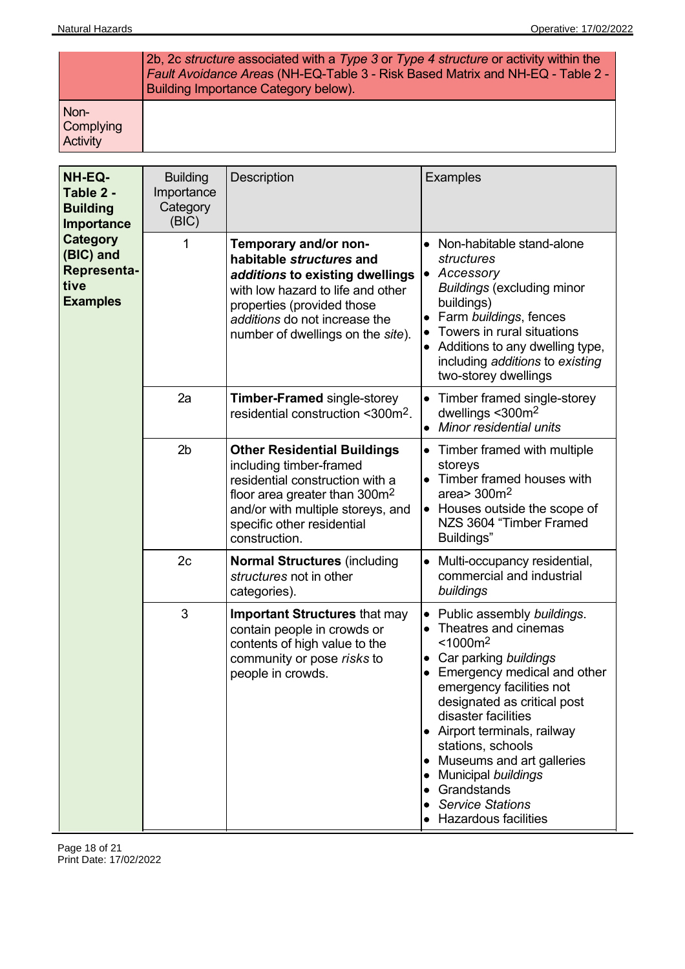|                                             | 2b, 2c structure associated with a Type 3 or Type 4 structure or activity within the<br>Fault Avoidance Areas (NH-EQ-Table 3 - Risk Based Matrix and NH-EQ - Table 2 -<br>Building Importance Category below). |
|---------------------------------------------|----------------------------------------------------------------------------------------------------------------------------------------------------------------------------------------------------------------|
| Non-<br><b>Complying</b><br><b>Activity</b> |                                                                                                                                                                                                                |

| NH-EQ-<br>Table 2 -<br><b>Building</b><br>Importance                   | <b>Building</b><br>Importance<br>Category<br>(BIC) | Description                                                                                                                                                                                                                   | <b>Examples</b>                                                                                                                                                                                                                                                                                                                                                                                                                                |
|------------------------------------------------------------------------|----------------------------------------------------|-------------------------------------------------------------------------------------------------------------------------------------------------------------------------------------------------------------------------------|------------------------------------------------------------------------------------------------------------------------------------------------------------------------------------------------------------------------------------------------------------------------------------------------------------------------------------------------------------------------------------------------------------------------------------------------|
| Category<br>(BIC) and<br><b>Representa-</b><br>tive<br><b>Examples</b> | 1                                                  | Temporary and/or non-<br>habitable structures and<br>additions to existing dwellings<br>with low hazard to life and other<br>properties (provided those<br>additions do not increase the<br>number of dwellings on the site). | • Non-habitable stand-alone<br>structures<br>Accessory<br>$\bullet$<br><b>Buildings (excluding minor</b><br>buildings)<br>Farm buildings, fences<br>$\bullet$<br>Towers in rural situations<br>Additions to any dwelling type,<br>including additions to existing<br>two-storey dwellings                                                                                                                                                      |
|                                                                        | 2a                                                 | <b>Timber-Framed single-storey</b><br>residential construction <300m <sup>2</sup> .                                                                                                                                           | Timber framed single-storey<br>$\bullet$<br>dwellings <300m <sup>2</sup><br>Minor residential units<br>$\bullet$                                                                                                                                                                                                                                                                                                                               |
|                                                                        | 2 <sub>b</sub>                                     | <b>Other Residential Buildings</b><br>including timber-framed<br>residential construction with a<br>floor area greater than $300m^2$<br>and/or with multiple storeys, and<br>specific other residential<br>construction.      | Timber framed with multiple<br>$\bullet$<br>storeys<br>• Timber framed houses with<br>area > $300m2$<br>Houses outside the scope of<br>$\bullet$<br>NZS 3604 "Timber Framed<br>Buildings"                                                                                                                                                                                                                                                      |
|                                                                        | 2c                                                 | <b>Normal Structures (including</b><br>structures not in other<br>categories).                                                                                                                                                | Multi-occupancy residential,<br>commercial and industrial<br>buildings                                                                                                                                                                                                                                                                                                                                                                         |
|                                                                        | 3                                                  | <b>Important Structures that may</b><br>contain people in crowds or<br>contents of high value to the<br>community or pose risks to<br>people in crowds.                                                                       | Public assembly buildings.<br>$\bullet$<br>Theatres and cinemas<br>$\bullet$<br>< 1000 m <sup>2</sup><br>Car parking buildings<br>Emergency medical and other<br>emergency facilities not<br>designated as critical post<br>disaster facilities<br>• Airport terminals, railway<br>stations, schools<br>Museums and art galleries<br>$\bullet$<br>Municipal buildings<br>Grandstands<br><b>Service Stations</b><br><b>Hazardous facilities</b> |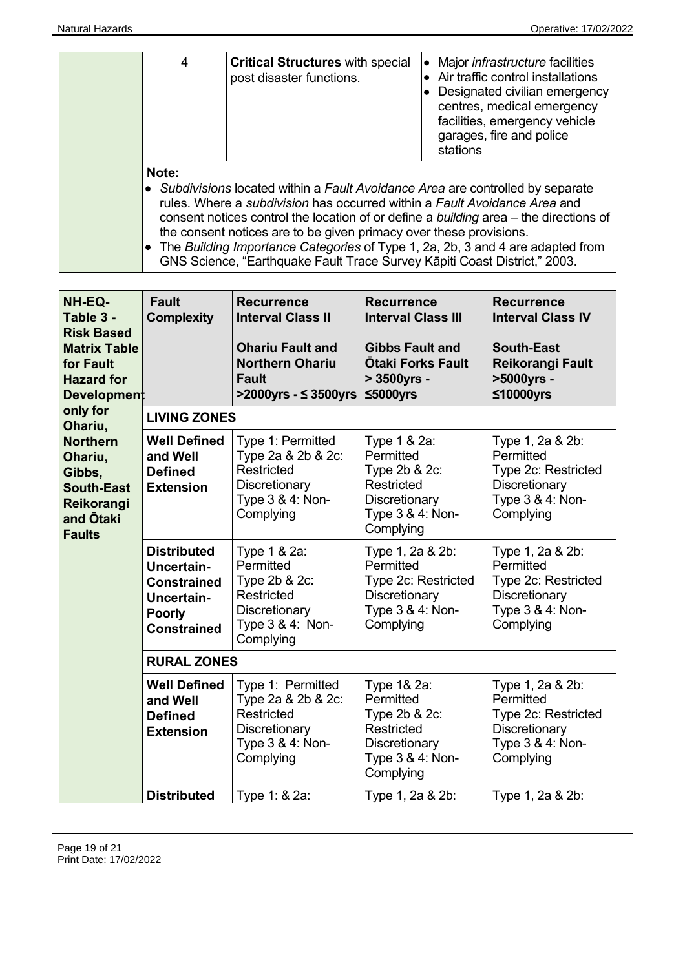| 4                                                                                                                                                                                                                                                                                                                                                                                                                                       | <b>Critical Structures with special</b><br>post disaster functions. | Major <i>infrastructure</i> facilities<br>$\bullet$<br>Air traffic control installations<br>Designated civilian emergency<br>centres, medical emergency<br>facilities, emergency vehicle<br>garages, fire and police<br>stations |
|-----------------------------------------------------------------------------------------------------------------------------------------------------------------------------------------------------------------------------------------------------------------------------------------------------------------------------------------------------------------------------------------------------------------------------------------|---------------------------------------------------------------------|----------------------------------------------------------------------------------------------------------------------------------------------------------------------------------------------------------------------------------|
| Note:<br>• Subdivisions located within a Fault Avoidance Area are controlled by separate<br>rules. Where a <i>subdivision</i> has occurred within a Fault Avoidance Area and<br>consent notices control the location of or define a building area – the directions of<br>the consent notices are to be given primacy over these provisions.<br>$\bullet$ The Ruilding Importance Categories of Type 1. 2a, 2b, 3 and 4 are adapted from |                                                                     |                                                                                                                                                                                                                                  |

| • The Building Importance Categories of Type 1, 2a, 2b, 3 and 4 are adapted from |
|----------------------------------------------------------------------------------|
| GNS Science, "Earthquake Fault Trace Survey Kāpiti Coast District," 2003.        |

| NH-EQ-<br>Table 3 -<br><b>Risk Based</b><br><b>Matrix Table</b><br>for Fault<br><b>Hazard for</b><br><b>Development</b> | <b>Fault</b><br><b>Complexity</b>                                                                                  | <b>Recurrence</b><br><b>Interval Class II</b><br><b>Ohariu Fault and</b><br><b>Northern Ohariu</b><br><b>Fault</b><br>>2000yrs - ≤ 3500yrs | <b>Recurrence</b><br><b>Interval Class III</b><br><b>Gibbs Fault and</b><br><b>Otaki Forks Fault</b><br>> 3500yrs -<br>≤5000yrs | <b>Recurrence</b><br><b>Interval Class IV</b><br><b>South-East</b><br>Reikorangi Fault<br>>5000yrs -<br>≤10000yrs |
|-------------------------------------------------------------------------------------------------------------------------|--------------------------------------------------------------------------------------------------------------------|--------------------------------------------------------------------------------------------------------------------------------------------|---------------------------------------------------------------------------------------------------------------------------------|-------------------------------------------------------------------------------------------------------------------|
| only for<br>Ohariu,                                                                                                     | <b>LIVING ZONES</b>                                                                                                |                                                                                                                                            |                                                                                                                                 |                                                                                                                   |
| <b>Northern</b><br>Ohariu,<br>Gibbs,<br><b>South-East</b><br>Reikorangi<br>and <b>Otaki</b><br><b>Faults</b>            | <b>Well Defined</b><br>and Well<br><b>Defined</b><br><b>Extension</b>                                              | Type 1: Permitted<br>Type 2a & 2b & 2c:<br><b>Restricted</b><br>Discretionary<br>Type 3 & 4: Non-<br>Complying                             | Type 1 & 2a:<br>Permitted<br>Type 2b & 2c:<br>Restricted<br>Discretionary<br>Type 3 & 4: Non-<br>Complying                      | Type 1, 2a & 2b:<br>Permitted<br>Type 2c: Restricted<br>Discretionary<br>Type 3 & 4: Non-<br>Complying            |
|                                                                                                                         | <b>Distributed</b><br><b>Uncertain-</b><br><b>Constrained</b><br>Uncertain-<br><b>Poorly</b><br><b>Constrained</b> | Type 1 & 2a:<br>Permitted<br>Type 2b & 2c:<br><b>Restricted</b><br>Discretionary<br>Type 3 & 4: Non-<br>Complying                          | Type 1, 2a & 2b:<br>Permitted<br>Type 2c: Restricted<br>Discretionary<br>Type 3 & 4: Non-<br>Complying                          | Type 1, 2a & 2b:<br>Permitted<br>Type 2c: Restricted<br>Discretionary<br>Type 3 & 4: Non-<br>Complying            |
|                                                                                                                         | <b>RURAL ZONES</b>                                                                                                 |                                                                                                                                            |                                                                                                                                 |                                                                                                                   |
|                                                                                                                         | <b>Well Defined</b><br>and Well<br><b>Defined</b><br><b>Extension</b>                                              | Type 1: Permitted<br>Type 2a & 2b & 2c:<br><b>Restricted</b><br>Discretionary<br>Type 3 & 4: Non-<br>Complying                             | Type 1& 2a:<br>Permitted<br>Type 2b & 2c:<br>Restricted<br>Discretionary<br>Type 3 & 4: Non-<br>Complying                       | Type 1, 2a & 2b:<br>Permitted<br>Type 2c: Restricted<br>Discretionary<br>Type 3 & 4: Non-<br>Complying            |
|                                                                                                                         | <b>Distributed</b>                                                                                                 | Type 1: & 2a:                                                                                                                              | Type 1, 2a & 2b:                                                                                                                | Type 1, 2a & 2b:                                                                                                  |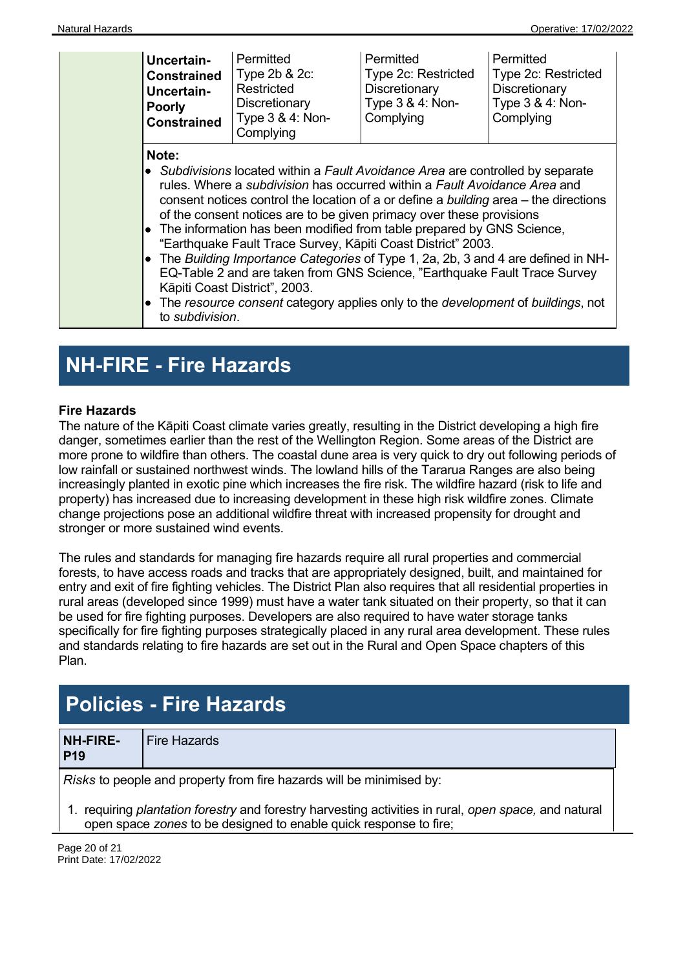| <b>Uncertain-</b><br><b>Constrained</b><br><b>Uncertain-</b><br><b>Poorly</b><br><b>Constrained</b> | Permitted<br>Type 2b & 2c:<br>Restricted<br>Discretionary<br>Type 3 & 4: Non-<br>Complying                                                                                                                                                                                                                                                                                                                                                                                                                                                                                                                                                                                                                                                                                                                        | Permitted<br>Type 2c: Restricted<br>Discretionary<br>Type 3 & 4: Non-<br>Complying | Permitted<br>Type 2c: Restricted<br>Discretionary<br>Type 3 & 4: Non-<br>Complying |
|-----------------------------------------------------------------------------------------------------|-------------------------------------------------------------------------------------------------------------------------------------------------------------------------------------------------------------------------------------------------------------------------------------------------------------------------------------------------------------------------------------------------------------------------------------------------------------------------------------------------------------------------------------------------------------------------------------------------------------------------------------------------------------------------------------------------------------------------------------------------------------------------------------------------------------------|------------------------------------------------------------------------------------|------------------------------------------------------------------------------------|
| Note:                                                                                               | • Subdivisions located within a Fault Avoidance Area are controlled by separate<br>rules. Where a <i>subdivision</i> has occurred within a <i>Fault Avoidance Area</i> and<br>consent notices control the location of a or define a building area – the directions<br>of the consent notices are to be given primacy over these provisions<br>$\bullet$ The information has been modified from table prepared by GNS Science,<br>"Earthquake Fault Trace Survey, Kāpiti Coast District" 2003.<br>$\bullet$ The Building Importance Categories of Type 1, 2a, 2b, 3 and 4 are defined in NH-<br>EQ-Table 2 and are taken from GNS Science, "Earthquake Fault Trace Survey<br>Kāpiti Coast District", 2003.<br>• The resource consent category applies only to the development of buildings, not<br>to subdivision. |                                                                                    |                                                                                    |

### **NH-FIRE - Fire Hazards**

### **Fire Hazards**

The nature of the Kāpiti Coast climate varies greatly, resulting in the District developing a high fire danger, sometimes earlier than the rest of the Wellington Region. Some areas of the District are more prone to wildfire than others. The coastal dune area is very quick to dry out following periods of low rainfall or sustained northwest winds. The lowland hills of the Tararua Ranges are also being increasingly planted in exotic pine which increases the fire risk. The wildfire hazard (risk to life and property) has increased due to increasing development in these high risk wildfire zones. Climate change projections pose an additional wildfire threat with increased propensity for drought and stronger or more sustained wind events.

The rules and standards for managing fire hazards require all rural properties and commercial forests, to have access roads and tracks that are appropriately designed, built, and maintained for entry and exit of fire fighting vehicles. The District Plan also requires that all residential properties in rural areas (developed since 1999) must have a water tank situated on their property, so that it can be used for fire fighting purposes. Developers are also required to have water storage tanks specifically for fire fighting purposes strategically placed in any rural area development. These rules and standards relating to fire hazards are set out in the Rural and Open Space chapters of this Plan.

### **Policies - Fire Hazards**

| NH-FIRE-   | <b>Fire Hazards</b> |
|------------|---------------------|
| <b>P19</b> |                     |

*Risks* to people and property from fire hazards will be minimised by:

1. requiring *plantation forestry* and forestry harvesting activities in rural, *open space,* and natural open space *zones* to be designed to enable quick response to fire;

Page 20 of 21 Print Date: 17/02/2022